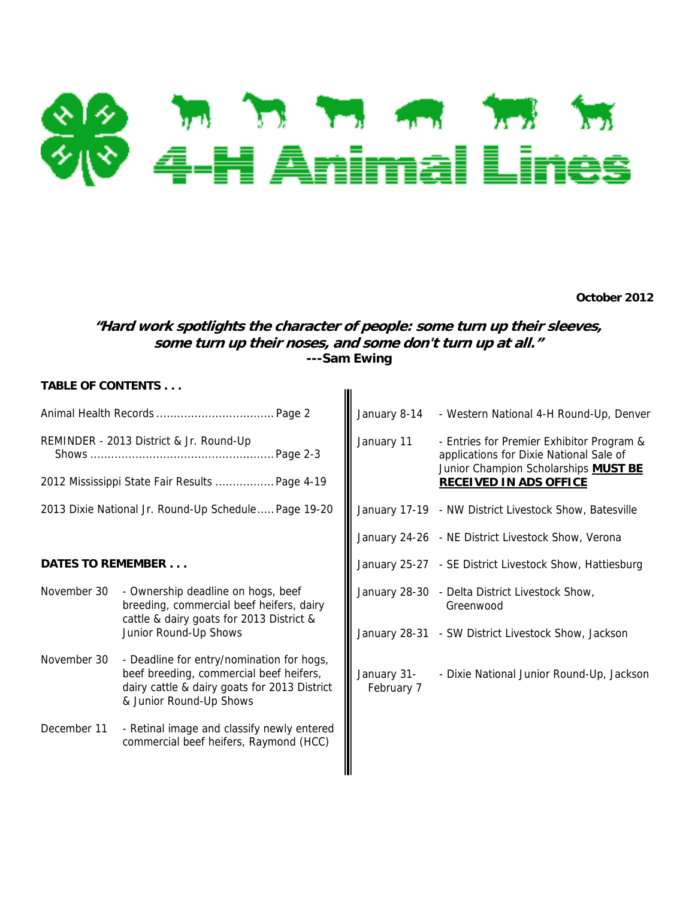

**October 2012** 

# **"Hard work spotlights the character of people: some turn up their sleeves, some turn up their noses, and some don't turn up at all." ---Sam Ewing**

 $\mathbf{II}$ 

## **TABLE OF CONTENTS . . .**

|                          |                                                                                                                                                                 | January 8-14              | - Western National 4-H Round-Up, Denver                                                                                                                       |
|--------------------------|-----------------------------------------------------------------------------------------------------------------------------------------------------------------|---------------------------|---------------------------------------------------------------------------------------------------------------------------------------------------------------|
|                          | REMINDER - 2013 District & Jr. Round-Up<br>Page 2-3<br>2012 Mississippi State Fair Results  Page 4-19                                                           | January 11                | - Entries for Premier Exhibitor Program &<br>applications for Dixie National Sale of<br>Junior Champion Scholarships MUST BE<br><b>RECEIVED IN ADS OFFICE</b> |
|                          | 2013 Dixie National Jr. Round-Up Schedule Page 19-20                                                                                                            |                           | January 17-19 - NW District Livestock Show, Batesville                                                                                                        |
|                          |                                                                                                                                                                 |                           | January 24-26 - NE District Livestock Show, Verona                                                                                                            |
| <b>DATES TO REMEMBER</b> |                                                                                                                                                                 |                           | January 25-27 - SE District Livestock Show, Hattiesburg                                                                                                       |
| November 30              | - Ownership deadline on hogs, beef<br>breeding, commercial beef heifers, dairy<br>cattle & dairy goats for 2013 District &                                      |                           | January 28-30 - Delta District Livestock Show,<br>Greenwood                                                                                                   |
|                          | Junior Round-Up Shows                                                                                                                                           |                           | January 28-31 - SW District Livestock Show, Jackson                                                                                                           |
| November 30              | - Deadline for entry/nomination for hogs,<br>beef breeding, commercial beef heifers,<br>dairy cattle & dairy goats for 2013 District<br>& Junior Round-Up Shows | January 31-<br>February 7 | - Dixie National Junior Round-Up, Jackson                                                                                                                     |
| December 11              | - Retinal image and classify newly entered<br>commercial beef heifers, Raymond (HCC)                                                                            |                           |                                                                                                                                                               |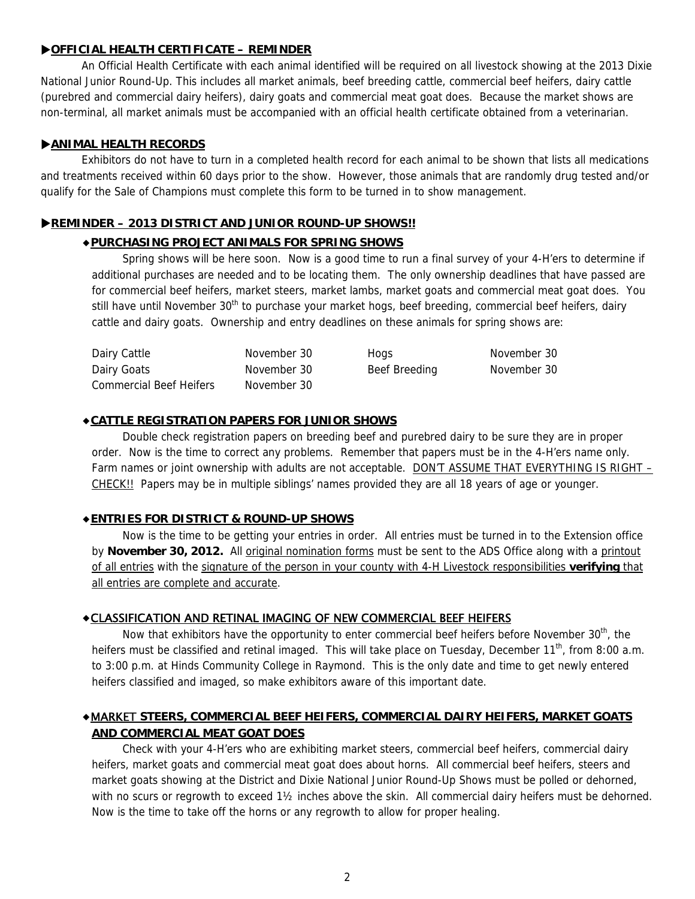## **OFFICIAL HEALTH CERTIFICATE – REMINDER**

An Official Health Certificate with each animal identified will be required on all livestock showing at the 2013 Dixie National Junior Round-Up. This includes all market animals, beef breeding cattle, commercial beef heifers, dairy cattle (purebred and commercial dairy heifers), dairy goats and commercial meat goat does. Because the market shows are non-terminal, all market animals must be accompanied with an official health certificate obtained from a veterinarian.

## **ANIMAL HEALTH RECORDS**

Exhibitors do not have to turn in a completed health record for each animal to be shown that lists all medications and treatments received within 60 days prior to the show. However, those animals that are randomly drug tested and/or qualify for the Sale of Champions must complete this form to be turned in to show management.

## **REMINDER – 2013 DISTRICT AND JUNIOR ROUND-UP SHOWS!!**

## ◆**PURCHASING PROJECT ANIMALS FOR SPRING SHOWS**

Spring shows will be here soon. Now is a good time to run a final survey of your 4-H'ers to determine if additional purchases are needed and to be locating them. The only ownership deadlines that have passed are for commercial beef heifers, market steers, market lambs, market goats and commercial meat goat does. You still have until November 30<sup>th</sup> to purchase your market hogs, beef breeding, commercial beef heifers, dairy cattle and dairy goats. Ownership and entry deadlines on these animals for spring shows are:

| Dairy Cattle                   | November 30 | Hogs          | November 30 |
|--------------------------------|-------------|---------------|-------------|
| Dairy Goats                    | November 30 | Beef Breeding | November 30 |
| <b>Commercial Beef Heifers</b> | November 30 |               |             |

## ◆**CATTLE REGISTRATION PAPERS FOR JUNIOR SHOWS**

 Double check registration papers on breeding beef and purebred dairy to be sure they are in proper order. Now is the time to correct any problems. Remember that papers must be in the 4-H'ers name only. Farm names or joint ownership with adults are not acceptable. DON'T ASSUME THAT EVERYTHING IS RIGHT -CHECK!! Papers may be in multiple siblings' names provided they are all 18 years of age or younger.

## ◆**ENTRIES FOR DISTRICT & ROUND-UP SHOWS**

Now is the time to be getting your entries in order. All entries must be turned in to the Extension office by **November 30, 2012.** All original nomination forms must be sent to the ADS Office along with a printout of all entries with the signature of the person in your county with 4-H Livestock responsibilities **verifying** that all entries are complete and accurate.

## ◆CLASSIFICATION AND RETINAL IMAGING OF NEW COMMERCIAL BEEF HEIFERS

Now that exhibitors have the opportunity to enter commercial beef heifers before November 30<sup>th</sup>, the heifers must be classified and retinal imaged. This will take place on Tuesday, December 11<sup>th</sup>, from 8:00 a.m. to 3:00 p.m. at Hinds Community College in Raymond. This is the only date and time to get newly entered heifers classified and imaged, so make exhibitors aware of this important date.

# ◆MARKET **STEERS, COMMERCIAL BEEF HEIFERS, COMMERCIAL DAIRY HEIFERS, MARKET GOATS AND COMMERCIAL MEAT GOAT DOES**

Check with your 4-H'ers who are exhibiting market steers, commercial beef heifers, commercial dairy heifers, market goats and commercial meat goat does about horns. All commercial beef heifers, steers and market goats showing at the District and Dixie National Junior Round-Up Shows must be polled or dehorned, with no scurs or regrowth to exceed 1<sup>1</sup>/<sub>2</sub> inches above the skin. All commercial dairy heifers must be dehorned. Now is the time to take off the horns or any regrowth to allow for proper healing.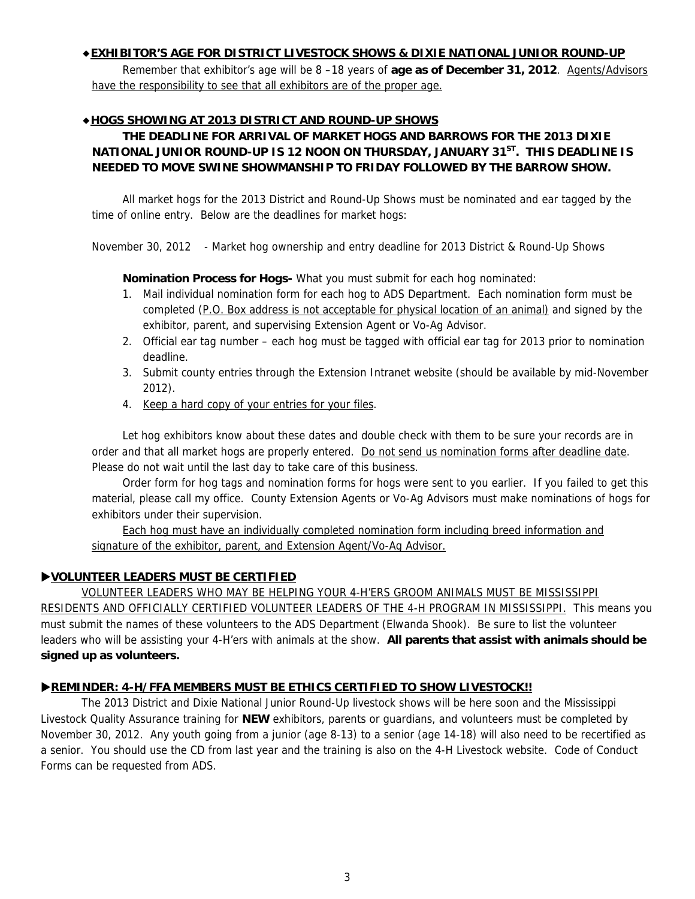## ◆**EXHIBITOR'S AGE FOR DISTRICT LIVESTOCK SHOWS & DIXIE NATIONAL JUNIOR ROUND-UP**

Remember that exhibitor's age will be 8 –18 years of **age as of December 31, 2012**. Agents/Advisors have the responsibility to see that all exhibitors are of the proper age.

## ◆**HOGS SHOWING AT 2013 DISTRICT AND ROUND-UP SHOWS**

# **THE DEADLINE FOR ARRIVAL OF MARKET HOGS AND BARROWS FOR THE 2013 DIXIE NATIONAL JUNIOR ROUND-UP IS 12 NOON ON THURSDAY, JANUARY 31<sup>ST</sup>. THIS DEADLINE IS NEEDED TO MOVE SWINE SHOWMANSHIP TO FRIDAY FOLLOWED BY THE BARROW SHOW.**

All market hogs for the 2013 District and Round-Up Shows must be nominated and ear tagged by the time of online entry. Below are the deadlines for market hogs:

November 30, 2012 - Market hog ownership and entry deadline for 2013 District & Round-Up Shows

**Nomination Process for Hogs-** What you must submit for each hog nominated:

- 1. Mail individual nomination form for each hog to ADS Department. Each nomination form must be completed (P.O. Box address is not acceptable for physical location of an animal) and signed by the exhibitor, parent, and supervising Extension Agent or Vo-Ag Advisor.
- 2. Official ear tag number each hog must be tagged with official ear tag for 2013 prior to nomination deadline.
- 3. Submit county entries through the Extension Intranet website (should be available by mid-November 2012).
- 4. Keep a hard copy of your entries for your files.

Let hog exhibitors know about these dates and double check with them to be sure your records are in order and that all market hogs are properly entered. Do not send us nomination forms after deadline date. Please do not wait until the last day to take care of this business.

Order form for hog tags and nomination forms for hogs were sent to you earlier. If you failed to get this material, please call my office. County Extension Agents or Vo-Ag Advisors must make nominations of hogs for exhibitors under their supervision.

Each hog must have an individually completed nomination form including breed information and signature of the exhibitor, parent, and Extension Agent/Vo-Ag Advisor.

## **VOLUNTEER LEADERS MUST BE CERTIFIED**

VOLUNTEER LEADERS WHO MAY BE HELPING YOUR 4-H'ERS GROOM ANIMALS MUST BE MISSISSIPPI RESIDENTS AND OFFICIALLY CERTIFIED VOLUNTEER LEADERS OF THE 4-H PROGRAM IN MISSISSIPPI. This means you must submit the names of these volunteers to the ADS Department (Elwanda Shook). Be sure to list the volunteer leaders who will be assisting your 4-H'ers with animals at the show. **All parents that assist with animals should be signed up as volunteers.**

## **REMINDER: 4-H/FFA MEMBERS MUST BE ETHICS CERTIFIED TO SHOW LIVESTOCK!!**

The 2013 District and Dixie National Junior Round-Up livestock shows will be here soon and the Mississippi Livestock Quality Assurance training for **NEW** exhibitors, parents or guardians, and volunteers must be completed by November 30, 2012. Any youth going from a junior (age 8-13) to a senior (age 14-18) will also need to be recertified as a senior. You should use the CD from last year and the training is also on the 4-H Livestock website. Code of Conduct Forms can be requested from ADS.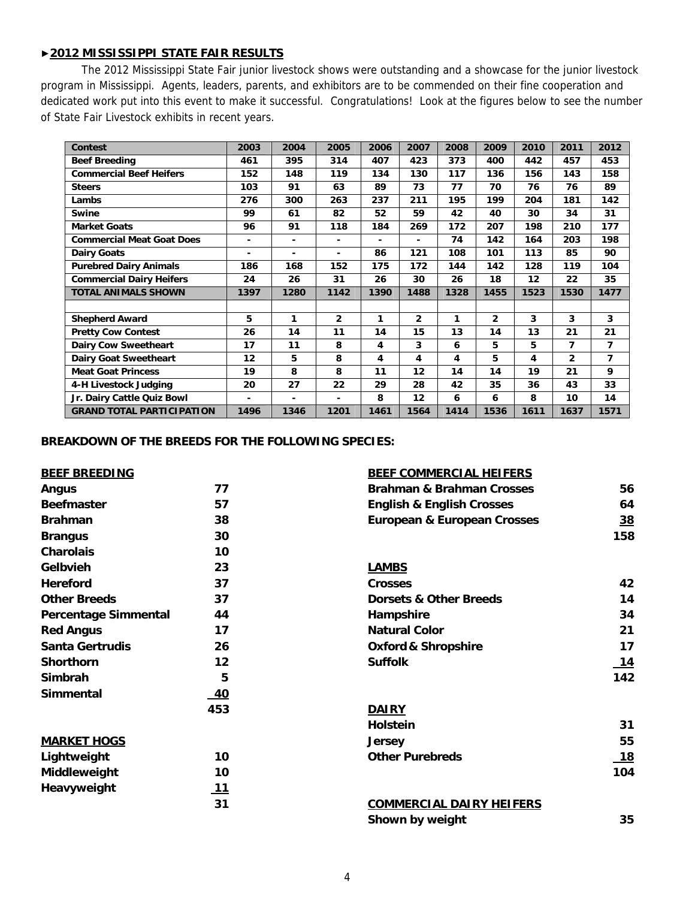## ▶**2012 MISSISSIPPI STATE FAIR RESULTS**

 The 2012 Mississippi State Fair junior livestock shows were outstanding and a showcase for the junior livestock program in Mississippi. Agents, leaders, parents, and exhibitors are to be commended on their fine cooperation and dedicated work put into this event to make it successful. Congratulations! Look at the figures below to see the number of State Fair Livestock exhibits in recent years.

| <b>Contest</b>                   | 2003           | 2004 | 2005           | 2006 | 2007 | 2008 | 2009         | 2010 | 2011           | 2012           |
|----------------------------------|----------------|------|----------------|------|------|------|--------------|------|----------------|----------------|
| <b>Beef Breeding</b>             | 461            | 395  | 314            | 407  | 423  | 373  | 400          | 442  | 457            | 453            |
| <b>Commercial Beef Heifers</b>   | 152            | 148  | 119            | 134  | 130  | 117  | 136          | 156  | 143            | 158            |
| <b>Steers</b>                    | 103            | 91   | 63             | 89   | 73   | 77   | 70           | 76   | 76             | 89             |
| Lambs                            | 276            | 300  | 263            | 237  | 211  | 195  | 199          | 204  | 181            | 142            |
| Swine                            | 99             | 61   | 82             | 52   | 59   | 42   | 40           | 30   | 34             | 31             |
| <b>Market Goats</b>              | 96             | 91   | 118            | 184  | 269  | 172  | 207          | 198  | 210            | 177            |
| <b>Commercial Meat Goat Does</b> | $\blacksquare$ | ۰    | $\blacksquare$ |      | ٠    | 74   | 142          | 164  | 203            | 198            |
| <b>Dairy Goats</b>               | ۰              | ۰    | $\blacksquare$ | 86   | 121  | 108  | 101          | 113  | 85             | 90             |
| <b>Purebred Dairy Animals</b>    | 186            | 168  | 152            | 175  | 172  | 144  | 142          | 128  | 119            | 104            |
| <b>Commercial Dairy Heifers</b>  | 24             | 26   | 31             | 26   | 30   | 26   | 18           | 12   | 22             | 35             |
| <b>TOTAL ANIMALS SHOWN</b>       | 1397           | 1280 | 1142           | 1390 | 1488 | 1328 | 1455         | 1523 | 1530           | 1477           |
|                                  |                |      |                |      |      |      |              |      |                |                |
| <b>Shepherd Award</b>            | 5              | 1    | $\mathbf{2}$   | 1    | 2    | 1    | $\mathbf{2}$ | 3    | 3              | 3              |
| <b>Pretty Cow Contest</b>        | 26             | 14   | 11             | 14   | 15   | 13   | 14           | 13   | 21             | 21             |
| Dairy Cow Sweetheart             | 17             | 11   | 8              | 4    | 3    | 6    | 5            | 5    | 7              | 7              |
| <b>Dairy Goat Sweetheart</b>     | 12             | 5    | 8              | 4    | 4    | 4    | 5            | 4    | $\overline{2}$ | $\overline{7}$ |
| <b>Meat Goat Princess</b>        | 19             | 8    | 8              | 11   | 12   | 14   | 14           | 19   | 21             | 9              |
| 4-H Livestock Judging            | 20             | 27   | 22             | 29   | 28   | 42   | 35           | 36   | 43             | 33             |
| Jr. Dairy Cattle Quiz Bowl       | $\blacksquare$ | ۰.   | $\overline{a}$ | 8    | 12   | 6    | 6            | 8    | 10             | 14             |
| <b>GRAND TOTAL PARTICIPATION</b> | 1496           | 1346 | 1201           | 1461 | 1564 | 1414 | 1536         | 1611 | 1637           | 1571           |

## **BREAKDOWN OF THE BREEDS FOR THE FOLLOWING SPECIES:**

|  |  | <b>BEEF BREEDING</b> |  |  |  |  |
|--|--|----------------------|--|--|--|--|
|  |  |                      |  |  |  |  |

| <b>BEEF BREEDING</b> | <b>BEEF COMMERCIAL HEIFERS</b> |
|----------------------|--------------------------------|
|                      |                                |

| <b>Angus</b>                | 77         | <b>Brahman &amp; Brahman Crosses</b>   | 56         |
|-----------------------------|------------|----------------------------------------|------------|
| <b>Beefmaster</b>           | 57         | <b>English &amp; English Crosses</b>   | 64         |
| <b>Brahman</b>              | 38         | <b>European &amp; European Crosses</b> | 38         |
| <b>Brangus</b>              | 30         |                                        | 158        |
| <b>Charolais</b>            | 10         |                                        |            |
| Gelbvieh                    | 23         | <b>LAMBS</b>                           |            |
| Hereford                    | 37         | <b>Crosses</b>                         | 42         |
| <b>Other Breeds</b>         | 37         | <b>Dorsets &amp; Other Breeds</b>      | 14         |
| <b>Percentage Simmental</b> | 44         | Hampshire                              | 34         |
| <b>Red Angus</b>            | 17         | <b>Natural Color</b>                   | 21         |
| <b>Santa Gertrudis</b>      | 26         | <b>Oxford &amp; Shropshire</b>         | 17         |
| <b>Shorthorn</b>            | 12         | <b>Suffolk</b>                         | <u> 14</u> |
| Simbrah                     | 5          |                                        | 142        |
| Simmental                   | 40         |                                        |            |
|                             | 453        | <b>DAIRY</b>                           |            |
|                             |            | <b>Holstein</b>                        | 31         |
| <b>MARKET HOGS</b>          |            | <b>Jersey</b>                          | 55         |
| Lightweight                 | 10         | <b>Other Purebreds</b>                 | <u> 18</u> |
| Middleweight                | 10         |                                        | 104        |
| Heavyweight                 | <u> 11</u> |                                        |            |
|                             | 31         | <b>COMMERCIAL DAIRY HEIFERS</b>        |            |
|                             |            | Shown by weight                        | 35         |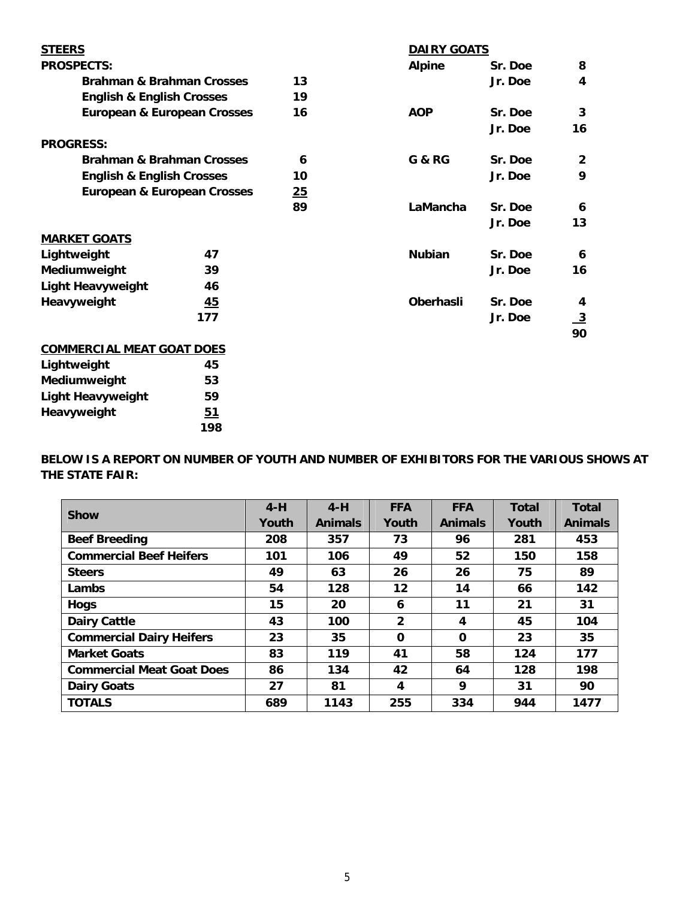| <b>STEERS</b>                        |                                        |    | <b>DAIRY GOATS</b> |         |                         |
|--------------------------------------|----------------------------------------|----|--------------------|---------|-------------------------|
| <b>PROSPECTS:</b>                    |                                        |    | <b>Alpine</b>      | Sr. Doe | 8                       |
|                                      | <b>Brahman &amp; Brahman Crosses</b>   | 13 |                    | Jr. Doe | 4                       |
| <b>English &amp; English Crosses</b> |                                        | 19 |                    |         |                         |
|                                      | <b>European &amp; European Crosses</b> | 16 | <b>AOP</b>         | Sr. Doe | 3                       |
|                                      |                                        |    |                    | Jr. Doe | 16                      |
| <b>PROGRESS:</b>                     |                                        |    |                    |         |                         |
|                                      | <b>Brahman &amp; Brahman Crosses</b>   | 6  | <b>G &amp; RG</b>  | Sr. Doe | $\overline{2}$          |
| <b>English &amp; English Crosses</b> |                                        | 10 |                    | Jr. Doe | 9                       |
|                                      | <b>European &amp; European Crosses</b> | 25 |                    |         |                         |
|                                      |                                        | 89 | LaMancha           | Sr. Doe | 6                       |
|                                      |                                        |    |                    | Jr. Doe | 13                      |
| <b>MARKET GOATS</b>                  |                                        |    |                    |         |                         |
| Lightweight                          | 47                                     |    | <b>Nubian</b>      | Sr. Doe | 6                       |
| Mediumweight                         | 39                                     |    |                    | Jr. Doe | 16                      |
| <b>Light Heavyweight</b>             | 46                                     |    |                    |         |                         |
| Heavyweight                          | 45                                     |    | <b>Oberhasli</b>   | Sr. Doe | 4                       |
|                                      | 177                                    |    |                    | Jr. Doe | $\overline{\mathbf{3}}$ |
|                                      |                                        |    |                    |         | 90                      |
| <b>COMMERCIAL MEAT GOAT DOES</b>     |                                        |    |                    |         |                         |
| Lightweight                          | 45                                     |    |                    |         |                         |
| Mediumweight                         | 53                                     |    |                    |         |                         |
| <b>Light Heavyweight</b>             | 59                                     |    |                    |         |                         |

Heavyweight 51

 **198** 

**BELOW IS A REPORT ON NUMBER OF YOUTH AND NUMBER OF EXHIBITORS FOR THE VARIOUS SHOWS AT THE STATE FAIR:** 

|                                  | $4-H$ | $4-H$          | <b>FFA</b>   | <b>FFA</b>     | <b>Total</b> | <b>Total</b>   |
|----------------------------------|-------|----------------|--------------|----------------|--------------|----------------|
| <b>Show</b>                      | Youth | <b>Animals</b> | Youth        | <b>Animals</b> | Youth        | <b>Animals</b> |
| <b>Beef Breeding</b>             | 208   | 357            | 73           | 96             | 281          | 453            |
| <b>Commercial Beef Heifers</b>   | 101   | 106            | 49           | 52             | 150          | 158            |
| <b>Steers</b>                    | 49    | 63             | 26           | 26             | 75           | 89             |
| Lambs                            | 54    | 128            | $12 \,$      | 14             | 66           | 142            |
| <b>Hogs</b>                      | 15    | 20             | 6            | 11             | 21           | 31             |
| <b>Dairy Cattle</b>              | 43    | 100            | $\mathbf{2}$ | 4              | 45           | 104            |
| <b>Commercial Dairy Heifers</b>  | 23    | 35             | 0            | 0              | 23           | 35             |
| <b>Market Goats</b>              | 83    | 119            | 41           | 58             | 124          | 177            |
| <b>Commercial Meat Goat Does</b> | 86    | 134            | 42           | 64             | 128          | 198            |
| <b>Dairy Goats</b>               | 27    | 81             | 4            | 9              | 31           | 90             |
| <b>TOTALS</b>                    | 689   | 1143           | 255          | 334            | 944          | 1477           |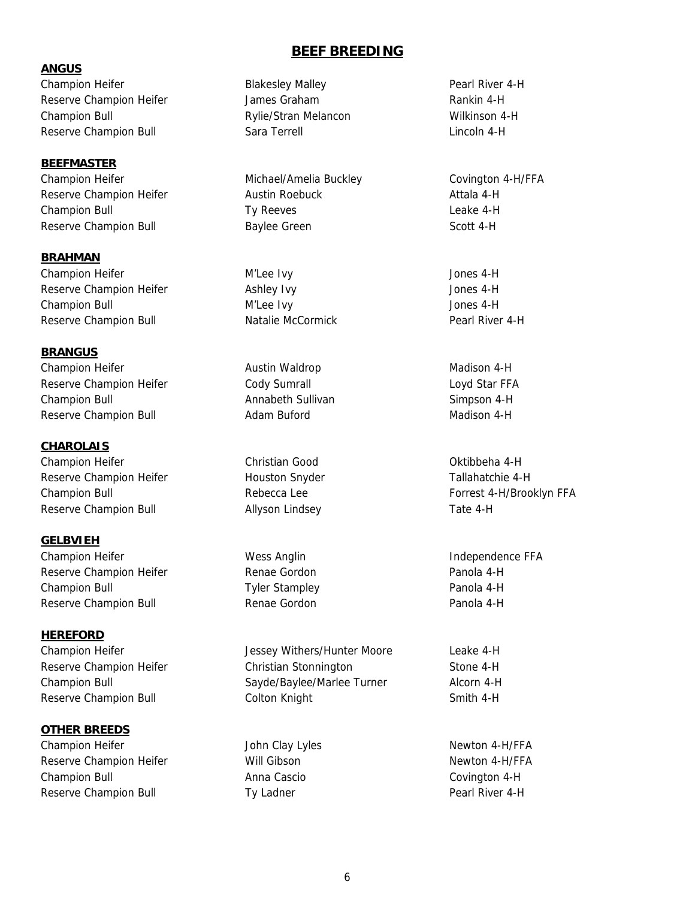## **ANGUS**

Champion Heifer **Blakesley Malley Pearl River 4-H** Champion Heifer Reserve Champion Heifer The State James Graham Theorem and Rankin 4-H Champion Bull Rylie/Stran Melancon Wilkinson 4-H Reserve Champion Bull **Sara Terrell** Sara Terrell **Reserve** Champion Bull and Lincoln 4-H

## **BEEFMASTER**

Reserve Champion Heifer **Austin Roebuck** Austin Roebuck Attala 4-H Champion Bull **Champion Bull Champion Bull Champion Bull Champion Bull Champion Bull Champion Champion Champion Champion Champion Champion Champion Champion Champion Champion Champion Champi** Reserve Champion Bull **Baylee Green** Scott 4-H

**BRAHMAN**  Champion Heifer M'Lee Ivy Jones 4-H Reserve Champion Heifer **Ashley Ivy** Ashley Ivy **Ashley Ivy** Jones 4-H Champion Bull M'Lee Ivy Jones 4-H Reserve Champion Bull **Natalie McCormick** Pearl River 4-H

## **BRANGUS**

Champion Heifer **Austin Waldrop Madison 4-H** Austin Waldrop **Madison 4-H** Reserve Champion Heifer **Cody Sumrall** Cody Sumrall Loyd Star FFA Champion Bull **Champion Bull Champion Bull Champion Bull Simpson 4-H Champion Bull** Reserve Champion Bull **Adam Buford** Madison 4-H

**CHAROLAIS**  Champion Heifer **Christian Good** Christian Good Champion Heifer Christian Cood Christian Oktibbeha 4-H Reserve Champion Heifer The Houston Snyder Tallahatchie 4-H Reserve Champion Bull **Allyson Lindsey** Tate 4-H

## **GELBVIEH**

Champion Heifer **Wess Anglin** Wess Anglin and Endependence FFA Reserve Champion Heifer **Renae Gordon** Panola 4-H Champion Bull Tyler Stampley Panola 4-H Reserve Champion Bull **Renae Gordon** Panola 4-H

## **HEREFORD**

# **OTHER BREEDS**

Champion Heifer The Subsettion of Lyles and Lyles Newton 4-H/FFA Reserve Champion Heifer **Newton American** Will Gibson Newton 4-H/FFA Champion Bull Anna Cascio Covington 4-H Reserve Champion Bull **Ty Ladner** Ty Ladner **Pearl River 4-H** 

# **BEEF BREEDING**

Champion Heifer The Michael/Amelia Buckley Covington 4-H/FFA

Champion Heifer The State of Tessey Withers/Hunter Moore Leake 4-H Reserve Champion Heifer **Christian Stonnington** Stone 4-H Champion Bull Sayde/Baylee/Marlee Turner Alcorn 4-H Reserve Champion Bull **Solution Colton Knight** Smith 4-H

Champion Bull **Rebecca Lee Rebecca Lee** Forrest 4-H/Brooklyn FFA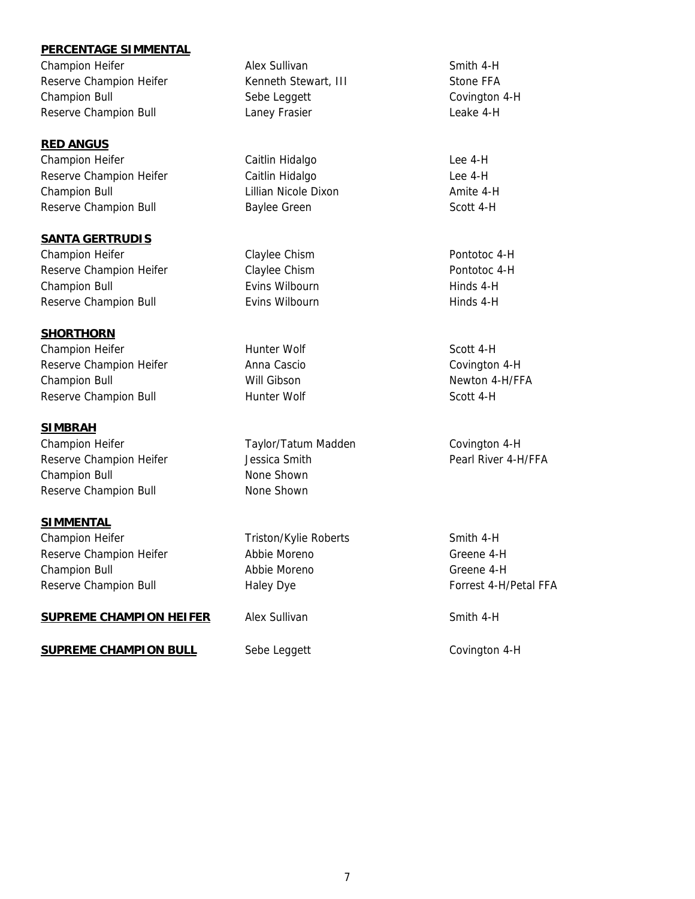## **PERCENTAGE SIMMENTAL**

Champion Heifer **Alex Sullivan** Alex Sullivan Smith 4-H Reserve Champion Heifer Kenneth Stewart, III Stone FFA Champion Bull **Champion Bull** Sebe Leggett Champion 4-H Reserve Champion Bull **Laney Frasier** Leake 4-H

## **RED ANGUS**

Reserve Champion Heifer **Caitlin Hidalgo** Lee 4-H Champion Bull Lillian Nicole Dixon Amite 4-H Reserve Champion Bull **Baylee Green** Scott 4-H

## **SANTA GERTRUDIS**

Champion Heifer **Claylee Chism** Claylee Chism **Pontotoc 4-H** Reserve Champion Heifer Claylee Chism Claylee Chism Pontotoc 4-H Champion Bull **Exits Wilbourn** Evins Wilbourn **Hinds 4-H** Hinds 4-H Reserve Champion Bull **Exity Exits Wilbourn Hinds 4-H** Hinds 4-H

## **SHORTHORN**

Champion Heifer **Hunter Wolf** Scott 4-H Reserve Champion Heifer **Anna Cascio** Covington 4-H Champion Bull **Newton 2-H/FFA** Will Gibson Newton 4-H/FFA Reserve Champion Bull **Hunter Wolf** Scott 4-H

## **SIMBRAH**

Champion Heifer Taylor/Tatum Madden Covington 4-H Reserve Champion Heifer The Substitute Jessica Smith Theorem 2012 Pearl River 4-H/FFA Champion Bull None Shown Reserve Champion Bull None Shown

## **SIMMENTAL**

Champion Heifer Triston/Kylie Roberts Smith 4-H Reserve Champion Heifer **Abbie Moreno** Abbie Moreno Greene 4-H Champion Bull Abbie Moreno Greene 4-H Reserve Champion Bull **Haley Dye** Forrest 4-H/Petal FFA

## **SUPREME CHAMPION HEIFER** Alex Sullivan Alex Sullivan Smith 4-H

## **SUPREME CHAMPION BULL** Sebe Leggett Sebe Covington 4-H

Champion Heifer **Caitlin Hidalgo** Caitlin Hidalgo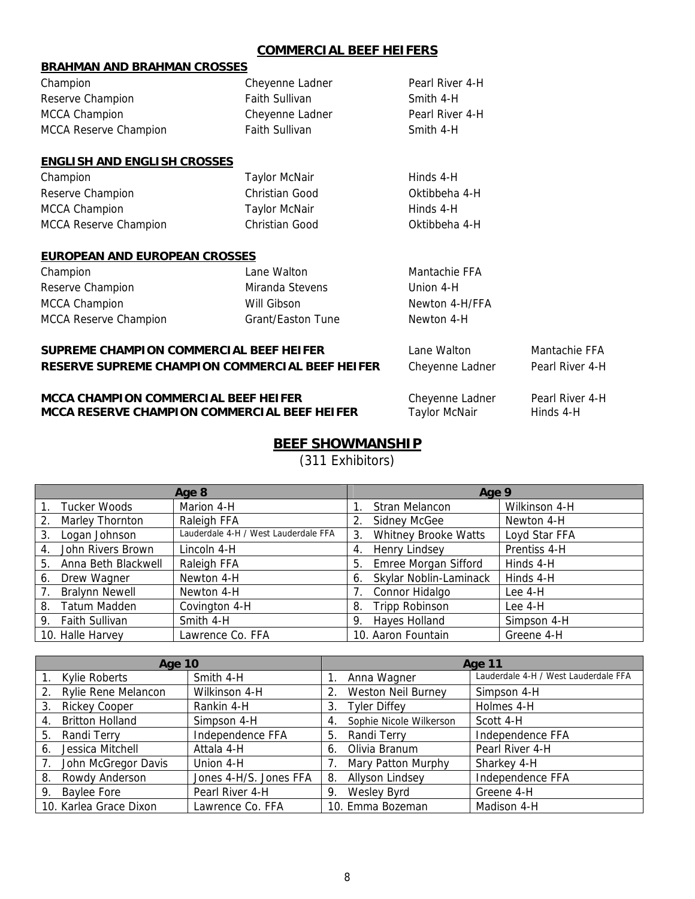# **COMMERCIAL BEEF HEIFERS**

| <b>DRAHIVIAIN AIND DRAHIVIAIN CRUSSES</b> |                       |                 |  |  |  |  |
|-------------------------------------------|-----------------------|-----------------|--|--|--|--|
| Champion                                  | Cheyenne Ladner       | Pearl River 4-H |  |  |  |  |
| Reserve Champion                          | <b>Faith Sullivan</b> | Smith 4-H       |  |  |  |  |
| <b>MCCA Champion</b>                      | Cheyenne Ladner       | Pearl River 4-H |  |  |  |  |
| MCCA Reserve Champion                     | <b>Faith Sullivan</b> | Smith 4-H       |  |  |  |  |
|                                           |                       |                 |  |  |  |  |
| <b>ENGLISH AND ENGLISH CROSSES</b>        |                       |                 |  |  |  |  |
| Champion                                  | <b>Taylor McNair</b>  | Hinds 4-H       |  |  |  |  |
| Reserve Champion                          | Christian Good        | Oktibbeha 4-H   |  |  |  |  |
| <b>MCCA Champion</b>                      | <b>Taylor McNair</b>  | Hinds 4-H       |  |  |  |  |
| <b>MCCA Reserve Champion</b>              | <b>Christian Good</b> | Oktibbeha 4-H   |  |  |  |  |
|                                           |                       |                 |  |  |  |  |

## **EUROPEAN AND EUROPEAN CROSSES**

**BRAHMAN AND BRAHMAN CROSSES** 

| Champion                     | Lane Walton       | Mantachie FFA  |
|------------------------------|-------------------|----------------|
| Reserve Champion             | Miranda Stevens   | Union 4-H      |
| <b>MCCA Champion</b>         | Will Gibson       | Newton 4-H/FFA |
| <b>MCCA Reserve Champion</b> | Grant/Easton Tune | Newton 4-H     |

# **SUPREME CHAMPION COMMERCIAL BEEF HEIFER** Lane Walton Mantachie FFA **RESERVE SUPREME CHAMPION COMMERCIAL BEEF HEIFER** Cheyenne Ladner Pearl River 4-H

## **MCCA CHAMPION COMMERCIAL BEEF HEIFER** Cheyenne Ladner Pearl River 4-H<br> **MCCA RESERVE CHAMPION COMMERCIAL BEEF HEIFER** Taylor McNair Hinds 4-H **MCCA RESERVE CHAMPION COMMERCIAL BEEF HEIFER**

| Lane Walton     | Mantachie  |
|-----------------|------------|
| Cheyenne Ladner | Pearl Rive |

# **BEEF SHOWMANSHIP**

(311 Exhibitors)

|    |                       | Age 8                                | Age 9 |                             |               |  |
|----|-----------------------|--------------------------------------|-------|-----------------------------|---------------|--|
|    | Tucker Woods          | Marion 4-H                           |       | Stran Melancon              | Wilkinson 4-H |  |
| 2. | Marley Thornton       | Raleigh FFA                          |       | <b>Sidney McGee</b>         | Newton 4-H    |  |
| 3. | Logan Johnson         | Lauderdale 4-H / West Lauderdale FFA | 3.    | Whitney Brooke Watts        | Loyd Star FFA |  |
| 4. | John Rivers Brown     | Lincoln 4-H                          | 4.    | Henry Lindsey               | Prentiss 4-H  |  |
| 5. | Anna Beth Blackwell   | Raleigh FFA                          | 5.    | <b>Emree Morgan Sifford</b> | Hinds 4-H     |  |
| 6. | Drew Wagner           | Newton 4-H                           | 6.    | Skylar Noblin-Laminack      | Hinds 4-H     |  |
| 7. | <b>Bralynn Newell</b> | Newton 4-H                           |       | Connor Hidalgo              | Lee 4-H       |  |
| 8. | Tatum Madden          | Covington 4-H                        | 8.    | Tripp Robinson              | Lee 4-H       |  |
|    | 9. Faith Sullivan     | Smith 4-H                            | 9.    | Hayes Holland               | Simpson 4-H   |  |
|    | 10. Halle Harvey      | Lawrence Co. FFA                     |       | 10. Aaron Fountain          | Greene 4-H    |  |

| Age 10 |                        |                        |    | Age 11                    |                                      |  |  |
|--------|------------------------|------------------------|----|---------------------------|--------------------------------------|--|--|
|        | Kylie Roberts          | Smith 4-H              |    | Anna Wagner               | Lauderdale 4-H / West Lauderdale FFA |  |  |
|        | Rylie Rene Melancon    | Wilkinson 4-H          |    | <b>Weston Neil Burney</b> | Simpson 4-H                          |  |  |
| 3.     | <b>Rickey Cooper</b>   | Rankin 4-H             | 3. | <b>Tyler Diffey</b>       | Holmes 4-H                           |  |  |
| 4.     | <b>Britton Holland</b> | Simpson 4-H            | 4. | Sophie Nicole Wilkerson   | Scott 4-H                            |  |  |
| 5.     | Randi Terry            | Independence FFA       | 5. | Randi Terry               | Independence FFA                     |  |  |
| 6.     | Jessica Mitchell       | Attala 4-H             | 6. | Olivia Branum             | Pearl River 4-H                      |  |  |
|        | John McGregor Davis    | Union 4-H              |    | Mary Patton Murphy        | Sharkey 4-H                          |  |  |
| 8.     | Rowdy Anderson         | Jones 4-H/S. Jones FFA | 8. | <b>Allyson Lindsey</b>    | Independence FFA                     |  |  |
| 9.     | Baylee Fore            | Pearl River 4-H        | 9. | Wesley Byrd               | Greene 4-H                           |  |  |
|        | 10. Karlea Grace Dixon | Lawrence Co. FFA       |    | 10. Emma Bozeman          | Madison 4-H                          |  |  |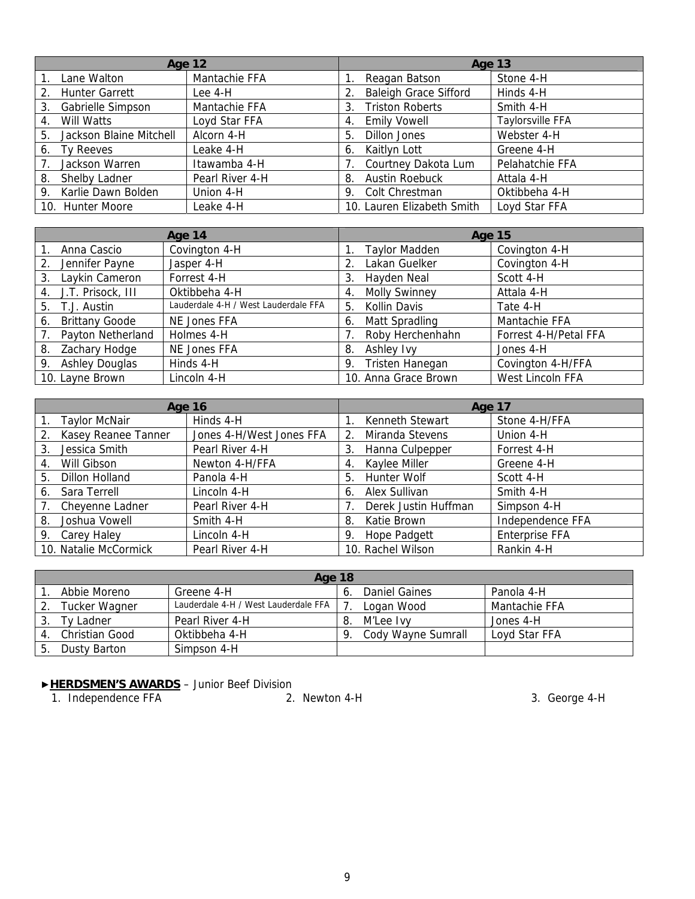| <b>Age 12</b>                 |                 | Age 13                       |                  |  |
|-------------------------------|-----------------|------------------------------|------------------|--|
| Lane Walton                   | Mantachie FFA   | Reagan Batson                | Stone 4-H        |  |
| 2. Hunter Garrett             | Lee 4-H         | <b>Baleigh Grace Sifford</b> | Hinds 4-H        |  |
| Gabrielle Simpson<br>3.       | Mantachie FFA   | <b>Triston Roberts</b><br>3. | Smith 4-H        |  |
| Will Watts<br>4.              | Loyd Star FFA   | <b>Emily Vowell</b><br>4.    | Taylorsville FFA |  |
| Jackson Blaine Mitchell<br>5. | Alcorn 4-H      | Dillon Jones<br>5.           | Webster 4-H      |  |
| Tv Reeves<br>6.               | Leake 4-H       | Kaitlyn Lott<br>6.           | Greene 4-H       |  |
| Jackson Warren                | Itawamba 4-H    | Courtney Dakota Lum          | Pelahatchie FFA  |  |
| Shelby Ladner<br>8.           | Pearl River 4-H | <b>Austin Roebuck</b><br>8.  | Attala 4-H       |  |
| 9. Karlie Dawn Bolden         | Union 4-H       | Colt Chrestman<br>9.         | Oktibbeha 4-H    |  |
| 10. Hunter Moore              | Leake 4-H       | 10. Lauren Elizabeth Smith   | Loyd Star FFA    |  |

| Age 14 |                       | <b>Age 15</b>                        |    |                        |                       |
|--------|-----------------------|--------------------------------------|----|------------------------|-----------------------|
|        | Anna Cascio           | Covington 4-H                        |    | <b>Taylor Madden</b>   | Covington 4-H         |
| 2.     | Jennifer Payne        | Jasper 4-H                           | 2. | Lakan Guelker          | Covington 4-H         |
| 3.     | Laykin Cameron        | Forrest 4-H                          | 3. | Hayden Neal            | Scott 4-H             |
| 4.     | J.T. Prisock, III     | Oktibbeha 4-H                        | 4. | <b>Molly Swinney</b>   | Attala 4-H            |
| 5.     | T.J. Austin           | Lauderdale 4-H / West Lauderdale FFA | 5. | Kollin Davis           | Tate 4-H              |
| 6.     | <b>Brittany Goode</b> | NE Jones FFA                         | 6. | Matt Spradling         | Mantachie FFA         |
|        | Payton Netherland     | Holmes 4-H                           |    | Roby Herchenhahn       | Forrest 4-H/Petal FFA |
| 8.     | Zachary Hodge         | NE Jones FFA                         | 8. | Ashley Ivy             | Jones 4-H             |
| 9.     | <b>Ashley Douglas</b> | Hinds 4-H                            | 9. | <b>Tristen Hanegan</b> | Covington 4-H/FFA     |
|        | 10. Layne Brown       | Lincoln 4-H                          |    | 10. Anna Grace Brown   | West Lincoln FFA      |

| <b>Age 16</b>  |                       |                          | Age 17 |                      |                       |
|----------------|-----------------------|--------------------------|--------|----------------------|-----------------------|
|                | <b>Taylor McNair</b>  | Hinds 4-H                |        | Kenneth Stewart      | Stone 4-H/FFA         |
| 2 <sub>1</sub> | Kasey Reanee Tanner   | Jones 4-H/West Jones FFA | 2.     | Miranda Stevens      | Union 4-H             |
| 3.             | Jessica Smith         | Pearl River 4-H          | 3.     | Hanna Culpepper      | Forrest 4-H           |
| 4.             | Will Gibson           | Newton 4-H/FFA           | 4.     | Kaylee Miller        | Greene 4-H            |
| 5.             | <b>Dillon Holland</b> | Panola 4-H               | 5.     | Hunter Wolf          | Scott 4-H             |
| 6.             | Sara Terrell          | Lincoln 4-H              | 6.     | Alex Sullivan        | Smith 4-H             |
|                | Cheyenne Ladner       | Pearl River 4-H          |        | Derek Justin Huffman | Simpson 4-H           |
| 8.             | Joshua Vowell         | Smith 4-H                | 8.     | Katie Brown          | Independence FFA      |
| 9.             | Carey Haley           | Lincoln 4-H              | 9.     | Hope Padgett         | <b>Enterprise FFA</b> |
|                | 10. Natalie McCormick | Pearl River 4-H          |        | 10. Rachel Wilson    | Rankin 4-H            |

| Age 18               |                                      |    |                    |               |  |  |
|----------------------|--------------------------------------|----|--------------------|---------------|--|--|
| Abbie Moreno         | Greene 4-H                           |    | Daniel Gaines      | Panola 4-H    |  |  |
| <b>Tucker Wagner</b> | Lauderdale 4-H / West Lauderdale FFA |    | Logan Wood         | Mantachie FFA |  |  |
| Tv Ladner            | Pearl River 4-H                      | 8. | M'Lee Ivv          | Jones 4-H     |  |  |
| Christian Good       | Oktibbeha 4-H                        |    | Cody Wayne Sumrall | Loyd Star FFA |  |  |
| Dusty Barton         | Simpson 4-H                          |    |                    |               |  |  |

## ▶**HERDSMEN'S AWARDS** – Junior Beef Division

1. Independence FFA 2. Newton 4-H 3. George 4-H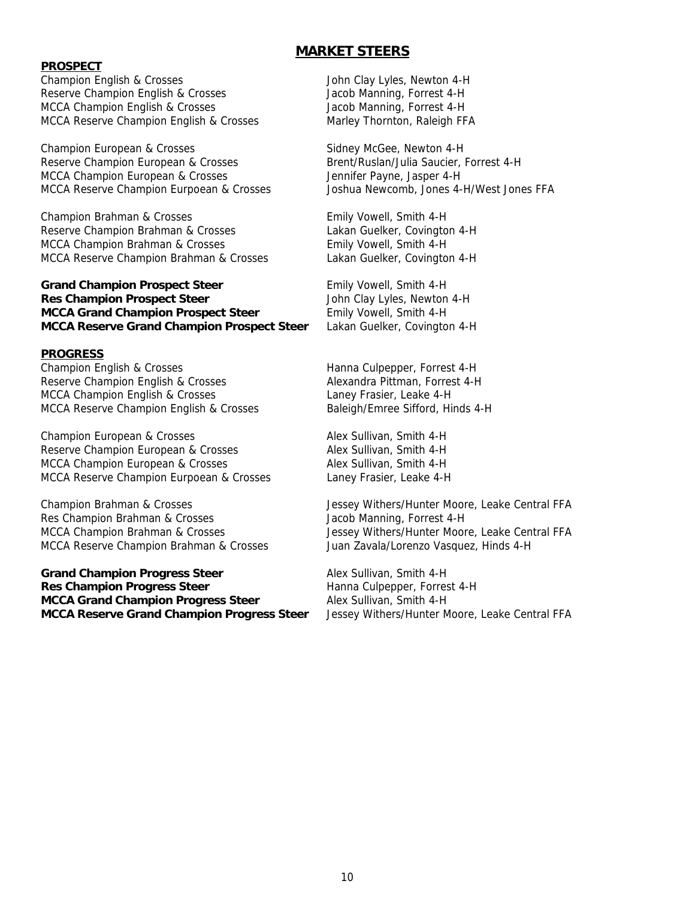### **PROSPECT**

Champion English & Crosses John Clay Lyles, Newton 4-H Reserve Champion English & Crosses **Facebook** Jacob Manning, Forrest 4-H MCCA Champion English & Crosses Jacob Manning, Forrest 4-H MCCA Reserve Champion English & Crosses Marley Thornton, Raleigh FFA

Champion European & Crosses Sidney McGee, Newton 4-H Reserve Champion European & Crosses Brent/Ruslan/Julia Saucier, Forrest 4-H MCCA Champion European & Crosses Jennifer Payne, Jasper 4-H MCCA Reserve Champion Eurpoean & Crosses Joshua Newcomb, Jones 4-H/West Jones FFA

Champion Brahman & Crosses Emily Vowell, Smith 4-H Reserve Champion Brahman & Crosses Lakan Guelker, Covington 4-H MCCA Champion Brahman & Crosses Emily Vowell, Smith 4-H MCCA Reserve Champion Brahman & Crosses Lakan Guelker, Covington 4-H

## **Grand Champion Prospect Steer <b>Emily Vowell**, Smith 4-H **Res Champion Prospect Steer**  John Clay Lyles, Newton 4-H **MCCA Grand Champion Prospect Steer** Emily Vowell, Smith 4-H **MCCA Reserve Grand Champion Prospect Steer** Lakan Guelker, Covington 4-H

### **PROGRESS**

Champion English & Crosses **Hanna Culpepper, Forrest 4-H** Hanna Culpepper, Forrest 4-H Reserve Champion English & Crosses Alexandra Pittman, Forrest 4-H MCCA Champion English & Crosses Laney Frasier, Leake 4-H MCCA Reserve Champion English & Crosses Baleigh/Emree Sifford, Hinds 4-H

Champion European & Crosses Alex Sullivan, Smith 4-H Reserve Champion European & Crosses Alex Sullivan, Smith 4-H MCCA Champion European & Crosses Alex Sullivan, Smith 4-H MCCA Reserve Champion Eurpoean & Crosses Laney Frasier, Leake 4-H

Res Champion Brahman & Crosses **Access** Jacob Manning, Forrest 4-H MCCA Reserve Champion Brahman & Crosses Juan Zavala/Lorenzo Vasquez, Hinds 4-H

Grand Champion Progress Steer **Alex Sullivan, Smith 4-H Res Champion Progress Steer <b>Hanna Culpepper**, Forrest 4-H **MCCA Grand Champion Progress Steer Steer Alex Sullivan, Smith 4-H MCCA Reserve Grand Champion Progress Steer** Jessey Withers/Hunter Moore, Leake Central FFA

# **MARKET STEERS**

Champion Brahman & Crosses Jessey Withers/Hunter Moore, Leake Central FFA MCCA Champion Brahman & Crosses Jessey Withers/Hunter Moore, Leake Central FFA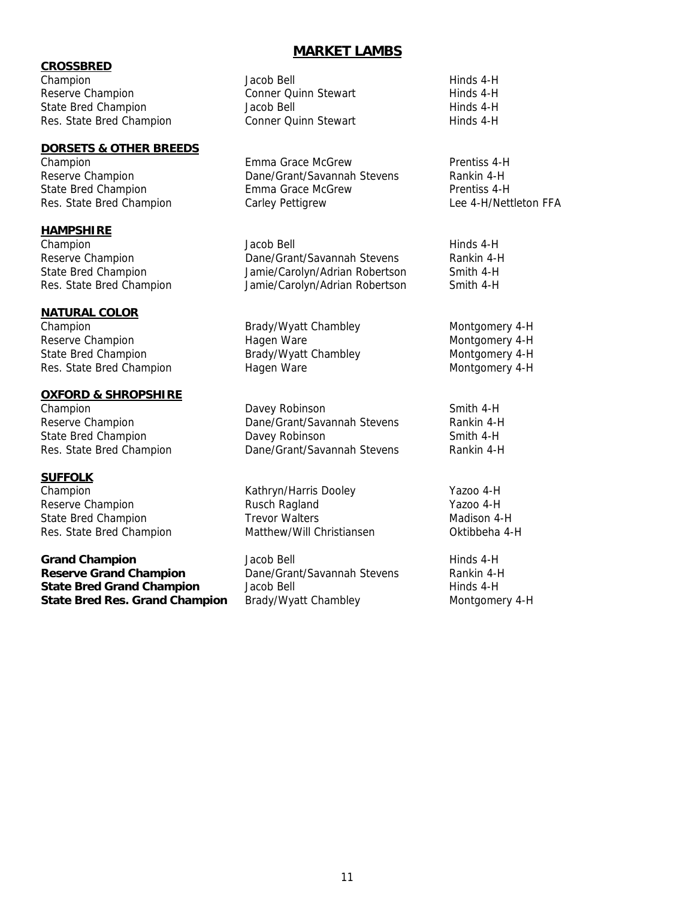## **CROSSBRED**

Champion Jacob Bell Hinds 4-Hinds 4-Hinds 4-Hinds 4-Hinds 4-Hinds 4-Hinds 4-Hinds 4-Hinds 4-Hinds 4-Hinds 4-Hinds 4-Hinds 4-Hinds 4-Hinds 4-Hinds 4-Hinds 4-Hinds 4-Hinds 4-Hinds 4-Hinds 4-Hinds 4-Hinds 4-Hinds 4-Hinds 4-Hi Reserve Champion and Stewart Hinds 4-Hinds 4-Hinds 4-Hinds 4-Hinds 4-Hinds 4-Hinds 4-Hinds 4-Hinds 4-Hinds 4-H State Bred Champion and Hinds 4-Hinds 4-Hinds 4-Hinds 4-Hinds 4-Hinds 4-Hinds 4-H Res. State Bred Champion Conner Conner Conner Connect

## **DORSETS & OTHER BREEDS**

## **HAMPSHIRE**

## **NATURAL COLOR**

Champion **Brady/Wyatt Chambley** Montgomery 4-H Reserve Champion The Communication of Hagen Ware Montgomery 4-H State Bred Champion **Brady/Wyatt Chambley** Montgomery 4-H Res. State Bred Champion **Hagen Ware** Montgomery 4-H

## **OXFORD & SHROPSHIRE**

## **SUFFOLK**

Reserve Champion **Rusch Ragland** Rusch Ragland Yazoo 4-H State Bred Champion Trevor Walters Maters Madison 4-H Res. State Bred Champion Matthew/Will Christiansen Christiansen Oktibbeha 4-H

**Grand Champion Champion Jacob Bell Hinds 4-H** Hinds 4-H **Reserve Grand Champion** Dane/Grant/Savannah Stevens Rankin 4-H **State Bred Grand Champion** Jacob Bell **Hinds 4-Hinds 4-H State Bred Res. Grand Champion** Brady/Wyatt Chambley Montgomery 4-H

# **MARKET LAMBS**

| acob Bell           | Hinds 4-H |
|---------------------|-----------|
| onner Quinn Stewart | Hinds 4-H |
| acob Bell           | Hinds 4-H |
| onner Quinn Stewart | Hinds 4-H |
|                     |           |

Champion Emma Grace McGrew Prentiss 4-H Reserve Champion The Champion Dane/Grant/Savannah Stevens Rankin 4-H State Bred Champion Emma Grace McGrew Prentiss 4-H Res. State Bred Champion Carley Pettigrew Lee 4-H/Nettleton FFA

Champion **Champion** Jacob Bell **Hinds 4-H** Hinds 4-H Reserve Champion **Dane/Grant/Savannah Stevens** Rankin 4-H State Bred Champion Jamie/Carolyn/Adrian Robertson Smith 4-H Res. State Bred Champion Jamie/Carolyn/Adrian Robertson Smith 4-H

Champion **Davey Robinson** Smith 4-H Reserve Champion **Dane/Grant/Savannah Stevens** Rankin 4-H State Bred Champion **Davey Robinson** Davey Robinson Smith 4-H Res. State Bred Champion Dane/Grant/Savannah Stevens Rankin 4-H

Champion Kathryn/Harris Dooley Yazoo 4-H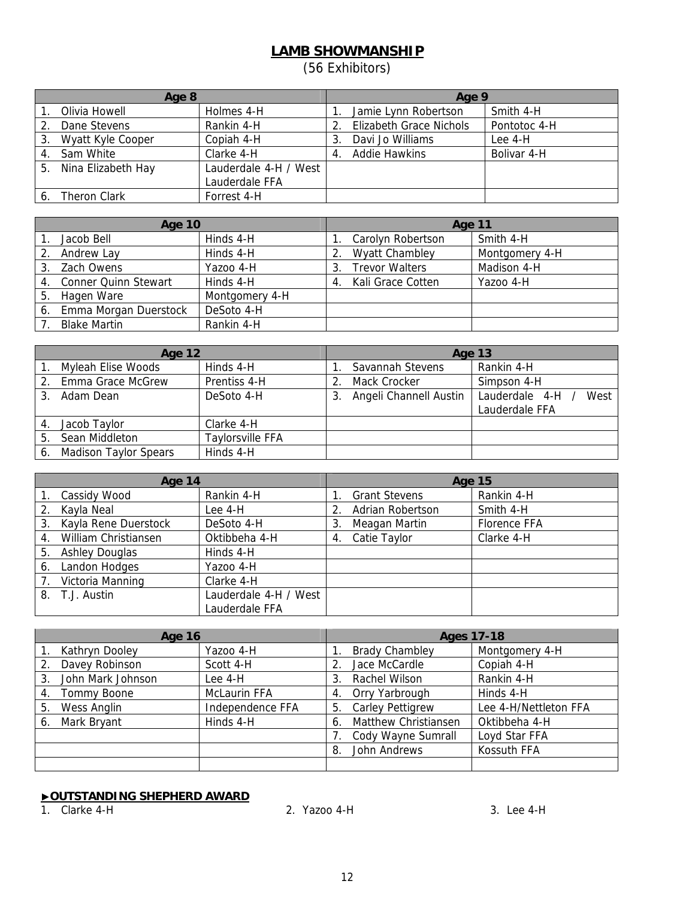# **LAMB SHOWMANSHIP**

(56 Exhibitors)

|    | Age 8               |                       |    | Age 9                          |              |  |
|----|---------------------|-----------------------|----|--------------------------------|--------------|--|
|    | Olivia Howell       | Holmes 4-H            |    | Jamie Lynn Robertson           | Smith 4-H    |  |
|    | Dane Stevens        | Rankin 4-H            | 2. | <b>Elizabeth Grace Nichols</b> | Pontotoc 4-H |  |
| 3. | Wyatt Kyle Cooper   | Copiah 4-H            |    | Davi Jo Williams               | Lee $4-H$    |  |
|    | 4. Sam White        | Clarke 4-H            | 4. | Addie Hawkins                  | Bolivar 4-H  |  |
| 5. | Nina Elizabeth Hay  | Lauderdale 4-H / West |    |                                |              |  |
|    |                     | Lauderdale FFA        |    |                                |              |  |
|    | <b>Theron Clark</b> | Forrest 4-H           |    |                                |              |  |

| Age 10 |                             | Age 11         |    |                       |                |
|--------|-----------------------------|----------------|----|-----------------------|----------------|
|        | Jacob Bell                  | Hinds 4-H      |    | Carolyn Robertson     | Smith 4-H      |
|        | Andrew Lay                  | Hinds 4-H      |    | <b>Wyatt Chambley</b> | Montgomery 4-H |
| 3.     | Zach Owens                  | Yazoo 4-H      |    | <b>Trevor Walters</b> | Madison 4-H    |
| 4.     | <b>Conner Quinn Stewart</b> | Hinds 4-H      | 4. | Kali Grace Cotten     | Yazoo 4-H      |
| 5.     | Hagen Ware                  | Montgomery 4-H |    |                       |                |
| 6.     | Emma Morgan Duerstock       | DeSoto 4-H     |    |                       |                |
|        | <b>Blake Martin</b>         | Rankin 4-H     |    |                       |                |

|         | <b>Age 12</b>                |                         |  | <b>Age 13</b>          |                        |  |
|---------|------------------------------|-------------------------|--|------------------------|------------------------|--|
|         | Myleah Elise Woods           | Hinds 4-H               |  | Savannah Stevens       | Rankin 4-H             |  |
| $2_{-}$ | Emma Grace McGrew            | Prentiss 4-H            |  | Mack Crocker           | Simpson 4-H            |  |
|         | Adam Dean                    | DeSoto 4-H              |  | Angeli Channell Austin | Lauderdale 4-H<br>West |  |
|         |                              |                         |  |                        | Lauderdale FFA         |  |
|         | Jacob Taylor                 | Clarke 4-H              |  |                        |                        |  |
| 5.      | Sean Middleton               | <b>Taylorsville FFA</b> |  |                        |                        |  |
| 6.      | <b>Madison Taylor Spears</b> | Hinds 4-H               |  |                        |                        |  |

| Age 14 |                       | <b>Age 15</b>         |    |                      |              |
|--------|-----------------------|-----------------------|----|----------------------|--------------|
|        | Cassidy Wood          | Rankin 4-H            |    | <b>Grant Stevens</b> | Rankin 4-H   |
|        | Kayla Neal            | Lee 4-H               |    | Adrian Robertson     | Smith 4-H    |
| 3.     | Kayla Rene Duerstock  | DeSoto 4-H            | 3. | Meagan Martin        | Florence FFA |
| 4.     | William Christiansen  | Oktibbeha 4-H         | 4. | Catie Taylor         | Clarke 4-H   |
| 5.     | <b>Ashley Douglas</b> | Hinds 4-H             |    |                      |              |
| 6.     | Landon Hodges         | Yazoo 4-H             |    |                      |              |
|        | Victoria Manning      | Clarke 4-H            |    |                      |              |
| 8.     | T.J. Austin           | Lauderdale 4-H / West |    |                      |              |
|        |                       | Lauderdale FFA        |    |                      |              |

| <b>Age 16</b>           |                     | <b>Ages 17-18</b>             |                       |  |
|-------------------------|---------------------|-------------------------------|-----------------------|--|
| Kathryn Dooley          | Yazoo 4-H           | <b>Brady Chambley</b>         | Montgomery 4-H        |  |
| Davey Robinson          | Scott 4-H           | Jace McCardle                 | Copiah 4-H            |  |
| John Mark Johnson<br>3. | Lee 4-H             | Rachel Wilson<br>3.           | Rankin 4-H            |  |
| Tommy Boone<br>4.       | <b>McLaurin FFA</b> | Orry Yarbrough<br>4.          | Hinds 4-H             |  |
| Wess Anglin<br>5.       | Independence FFA    | <b>Carley Pettigrew</b><br>5. | Lee 4-H/Nettleton FFA |  |
| Mark Bryant<br>6.       | Hinds 4-H           | Matthew Christiansen<br>6.    | Oktibbeha 4-H         |  |
|                         |                     | Cody Wayne Sumrall            | Loyd Star FFA         |  |
|                         |                     | John Andrews<br>8.            | Kossuth FFA           |  |
|                         |                     |                               |                       |  |

## ▶**OUTSTANDING SHEPHERD AWARD**

1. Clarke 4-H 2. Yazoo 4-H 3. Lee 4-H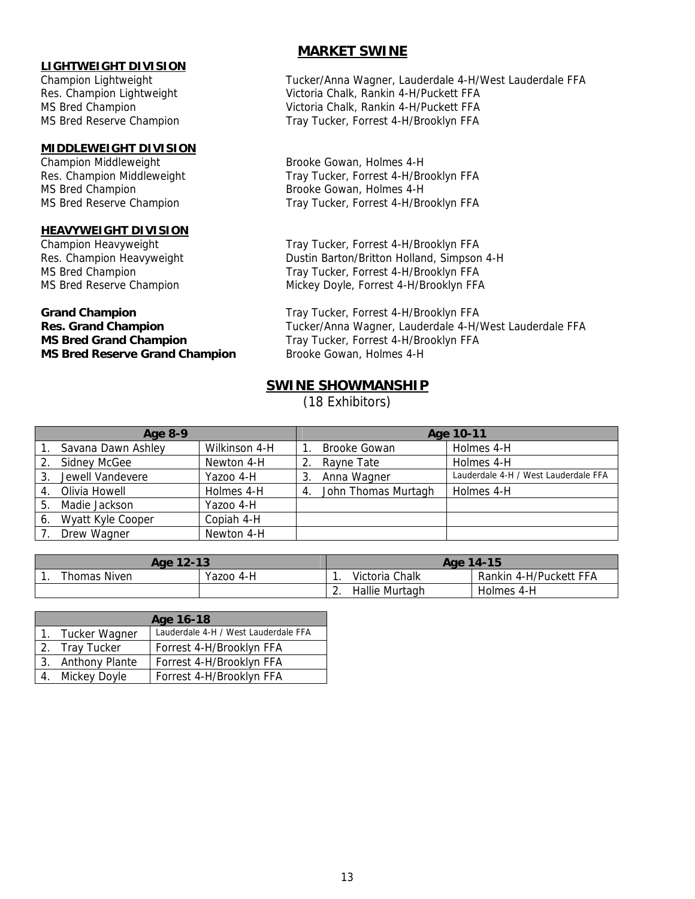# **LIGHTWEIGHT DIVISION**

### **MIDDLEWEIGHT DIVISION**

MS Bred Champion **Brooke Gowan, Holmes 4-H** 

## **HEAVYWEIGHT DIVISION**

**MS Bred Grand Champion** Tray Tucker, Forrest 4-H/Brooklyn FFA **MS Bred Reserve Grand Champion** Brooke Gowan, Holmes 4-H

## **MARKET SWINE**

Champion Lightweight Tucker/Anna Wagner, Lauderdale 4-H/West Lauderdale FFA Res. Champion Lightweight Victoria Chalk, Rankin 4-H/Puckett FFA MS Bred Champion Victoria Chalk, Rankin 4-H/Puckett FFA MS Bred Reserve Champion Tray Tucker, Forrest 4-H/Brooklyn FFA

Champion Middleweight Brooke Gowan, Holmes 4-H Res. Champion Middleweight Tray Tucker, Forrest 4-H/Brooklyn FFA MS Bred Reserve Champion Tray Tucker, Forrest 4-H/Brooklyn FFA

Champion Heavyweight Tray Tucker, Forrest 4-H/Brooklyn FFA Res. Champion Heavyweight **Dustin Barton/Britton Holland, Simpson 4-H** MS Bred Champion Tray Tucker, Forrest 4-H/Brooklyn FFA MS Bred Reserve Champion Mickey Doyle, Forrest 4-H/Brooklyn FFA

Grand Champion **Grand Champion Tray Tucker, Forrest 4-H/Brooklyn FFA Res. Grand Champion** Tucker/Anna Wagner, Lauderdale 4-H/West Lauderdale FFA

# **SWINE SHOWMANSHIP**

(18 Exhibitors)

| Age 8-9 |                     |               |    | Age 10-11           |                                      |  |  |  |
|---------|---------------------|---------------|----|---------------------|--------------------------------------|--|--|--|
|         | Savana Dawn Ashley  | Wilkinson 4-H |    | <b>Brooke Gowan</b> | Holmes 4-H                           |  |  |  |
| 2.      | <b>Sidney McGee</b> | Newton 4-H    | 2. | Rayne Tate          | Holmes 4-H                           |  |  |  |
| 3.      | Jewell Vandevere    | Yazoo 4-H     | 3  | Anna Wagner         | Lauderdale 4-H / West Lauderdale FFA |  |  |  |
| 4.      | Olivia Howell       | Holmes 4-H    | 4. | John Thomas Murtagh | Holmes 4-H                           |  |  |  |
| 5.      | Madie Jackson       | Yazoo 4-H     |    |                     |                                      |  |  |  |
| 6.      | Wyatt Kyle Cooper   | Copiah 4-H    |    |                     |                                      |  |  |  |
|         | Drew Wagner         | Newton 4-H    |    |                     |                                      |  |  |  |

| Age 12-13    |           |          | Age 14-15      |                        |  |
|--------------|-----------|----------|----------------|------------------------|--|
| Thomas Niven | Yazoo 4-H |          | Victoria Chalk | Rankin 4-H/Puckett FFA |  |
|              |           | <u>.</u> | Hallie Murtagh | Holmes 4-H             |  |

| Age 16-18         |                                      |  |  |  |
|-------------------|--------------------------------------|--|--|--|
| 1. Tucker Wagner  | Lauderdale 4-H / West Lauderdale FFA |  |  |  |
| 2. Tray Tucker    | Forrest 4-H/Brooklyn FFA             |  |  |  |
| 3. Anthony Plante | Forrest 4-H/Brooklyn FFA             |  |  |  |
| 4. Mickey Doyle   | Forrest 4-H/Brooklyn FFA             |  |  |  |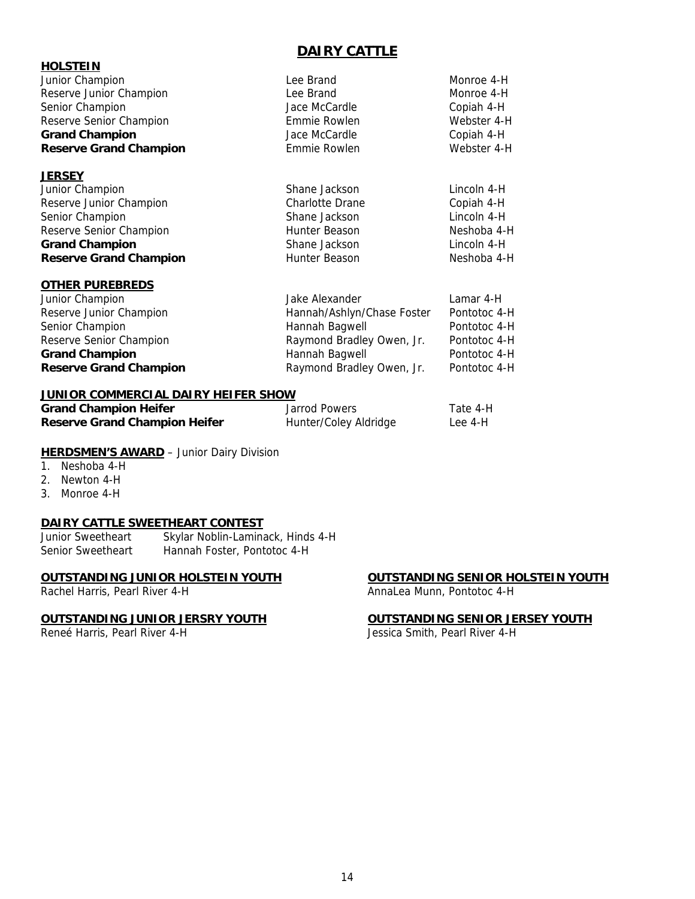# **DAIRY CATTLE**

| <b>HOLSTEIN</b>               |                 |             |
|-------------------------------|-----------------|-------------|
| Junior Champion               | Lee Brand       | Monroe 4-H  |
| Reserve Junior Champion       | Lee Brand       | Monroe 4-H  |
| Senior Champion               | Jace McCardle   | Copiah 4-H  |
| Reserve Senior Champion       | Emmie Rowlen    | Webster 4-H |
| <b>Grand Champion</b>         | Jace McCardle   | Copiah 4-H  |
| <b>Reserve Grand Champion</b> | Emmie Rowlen    | Webster 4-H |
| <u>JERSEY</u>                 |                 |             |
| Junior Champion               | Shane Jackson   | Lincoln 4-H |
| Reserve Junior Champion       | Charlotte Drane | Copiah 4-H  |
| Senior Champion               | Shane Jackson   | Lincoln 4-H |
| Reserve Senior Champion       | Hunter Beason   | Neshoba 4-H |
| <b>Grand Champion</b>         | Shane Jackson   | Lincoln 4-H |
| <b>Reserve Grand Champion</b> | Hunter Beason   | Neshoba 4-H |

## **OTHER PUREBREDS**

| Junior Champion               | Jake Alexander             | Lamar 4-H    |
|-------------------------------|----------------------------|--------------|
| Reserve Junior Champion       | Hannah/Ashlyn/Chase Foster | Pontotoc 4-H |
| Senior Champion               | Hannah Bagwell             | Pontotoc 4-H |
| Reserve Senior Champion       | Raymond Bradley Owen, Jr.  | Pontotoc 4-H |
| <b>Grand Champion</b>         | Hannah Bagwell             | Pontotoc 4-H |
| <b>Reserve Grand Champion</b> | Raymond Bradley Owen, Jr.  | Pontotoc 4-H |

### **JUNIOR COMMERCIAL DAIRY HEIFER SHOW**

| <b>Grand Champion Heifer</b>         | Jarrod Powers         | Tate 4-H |
|--------------------------------------|-----------------------|----------|
| <b>Reserve Grand Champion Heifer</b> | Hunter/Coley Aldridge | Lee 4-H  |

## **HERDSMEN'S AWARD** - Junior Dairy Division

- 1. Neshoba 4-H
- 2. Newton 4-H
- 3. Monroe 4-H

# **DAIRY CATTLE SWEETHEART CONTEST**

Junior Sweetheart Skylar Noblin-Laminack, Hinds 4-H<br>Senior Sweetheart Hannah Foster, Pontotoc 4-H Hannah Foster, Pontotoc 4-H

## **OUTSTANDING JUNIOR HOLSTEIN YOUTH OUTSTANDING SENIOR HOLSTEIN YOUTH**

Rachel Harris, Pearl River 4-H AnnaLea Munn, Pontotoc 4-H

## **OUTSTANDING JUNIOR JERSRY YOUTH OUTSTANDING SENIOR JERSEY YOUTH**

Reneé Harris, Pearl River 4-H Jessica Smith, Pearl River 4-H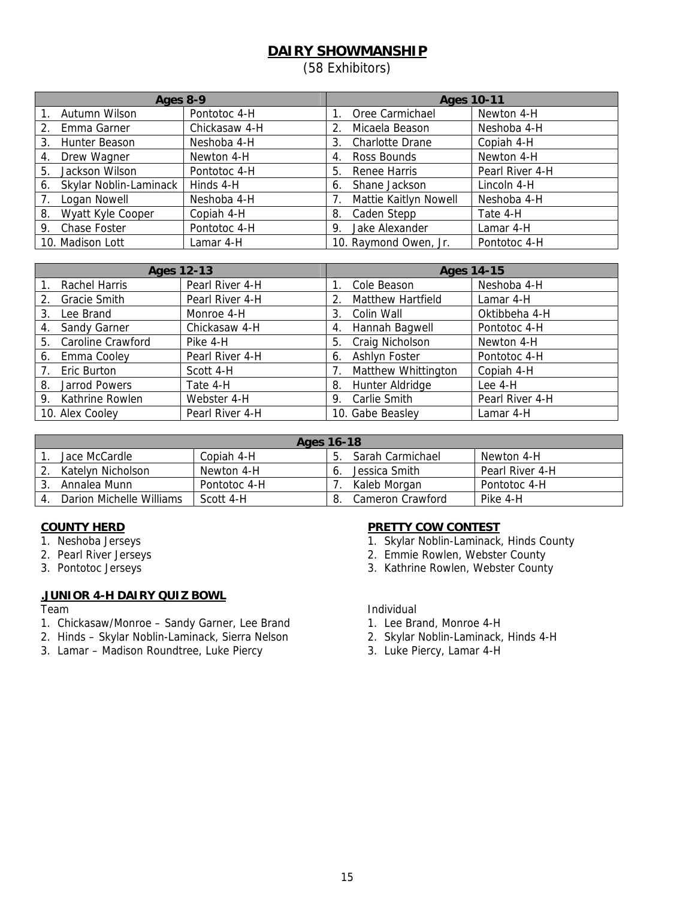# **DAIRY SHOWMANSHIP**

(58 Exhibitors)

| Ages 8-9 |                        |               | <b>Ages 10-11</b> |                        |                 |
|----------|------------------------|---------------|-------------------|------------------------|-----------------|
|          | Autumn Wilson          | Pontotoc 4-H  |                   | Oree Carmichael        | Newton 4-H      |
| $2_{1}$  | Emma Garner            | Chickasaw 4-H |                   | Micaela Beason         | Neshoba 4-H     |
| 3.       | Hunter Beason          | Neshoba 4-H   | 3.                | <b>Charlotte Drane</b> | Copiah 4-H      |
| 4.       | Drew Wagner            | Newton 4-H    | 4.                | Ross Bounds            | Newton 4-H      |
| 5.       | Jackson Wilson         | Pontotoc 4-H  | 5.                | Renee Harris           | Pearl River 4-H |
| 6.       | Skylar Noblin-Laminack | Hinds 4-H     | 6.                | Shane Jackson          | Lincoln 4-H     |
| 7.       | Logan Nowell           | Neshoba 4-H   |                   | Mattie Kaitlyn Nowell  | Neshoba 4-H     |
| 8.       | Wyatt Kyle Cooper      | Copiah 4-H    | 8.                | Caden Stepp            | Tate 4-H        |
| 9.       | Chase Foster           | Pontotoc 4-H  | 9.                | Jake Alexander         | Lamar 4-H       |
|          | 10. Madison Lott       | Lamar 4-H     |                   | 10. Raymond Owen, Jr.  | Pontotoc 4-H    |

| <b>Ages 12-13</b> |                      |                 | <b>Ages 14-15</b> |                          |                 |
|-------------------|----------------------|-----------------|-------------------|--------------------------|-----------------|
|                   | Rachel Harris        | Pearl River 4-H |                   | Cole Beason              | Neshoba 4-H     |
| 2.                | Gracie Smith         | Pearl River 4-H |                   | <b>Matthew Hartfield</b> | Lamar 4-H       |
| 3.                | Lee Brand            | Monroe 4-H      | 3.                | Colin Wall               | Oktibbeha 4-H   |
| 4.                | Sandy Garner         | Chickasaw 4-H   | 4.                | Hannah Bagwell           | Pontotoc 4-H    |
|                   | 5. Caroline Crawford | Pike 4-H        |                   | 5. Craig Nicholson       | Newton 4-H      |
| 6.                | Emma Cooley          | Pearl River 4-H | 6.                | Ashlyn Foster            | Pontotoc 4-H    |
|                   | 7. Eric Burton       | Scott 4-H       |                   | Matthew Whittington      | Copiah 4-H      |
|                   | 8. Jarrod Powers     | Tate 4-H        | 8.                | Hunter Aldridge          | Lee 4-H         |
|                   | 9. Kathrine Rowlen   | Webster 4-H     | 9.                | Carlie Smith             | Pearl River 4-H |
|                   | 10. Alex Cooley      | Pearl River 4-H |                   | 10. Gabe Beasley         | Lamar 4-H       |

| Ages 16-18               |              |    |                  |                 |  |
|--------------------------|--------------|----|------------------|-----------------|--|
| Jace McCardle            | Copiah 4-H   | b. | Sarah Carmichael | Newton 4-H      |  |
| Katelyn Nicholson        | Newton 4-H   |    | Jessica Smith    | Pearl River 4-H |  |
| Annalea Munn             | Pontotoc 4-H |    | Kaleb Morgan     | Pontotoc 4-H    |  |
| Darion Michelle Williams | Scott 4-H    |    | Cameron Crawford | Pike 4-H        |  |

- 
- 
- 

# **.JUNIOR 4-H DAIRY QUIZ BOWL**

- 1. Chickasaw/Monroe Sandy Garner, Lee Brand 1. Lee Brand, Monroe 4-H
- 2. Hinds Skylar Noblin-Laminack, Sierra Nelson 2. Skylar Noblin-Laminack, Hinds 4-H
- 3. Lamar Madison Roundtree, Luke Piercy 3. Luke Piercy, Lamar 4-H

# **COUNTY HERD PRETTY COW CONTEST**

- 1. Neshoba Jerseys 1. Skylar Noblin-Laminack, Hinds County
- 2. Pearl River Jerseys 2. Emmie Rowlen, Webster County
- 3. Pontotoc Jerseys 3. Kathrine Rowlen, Webster County

## Team and the contract of the contract of the contract of the contract of the contract of the contract of the contract of the contract of the contract of the contract of the contract of the contract of the contract of the c

- 
- 
-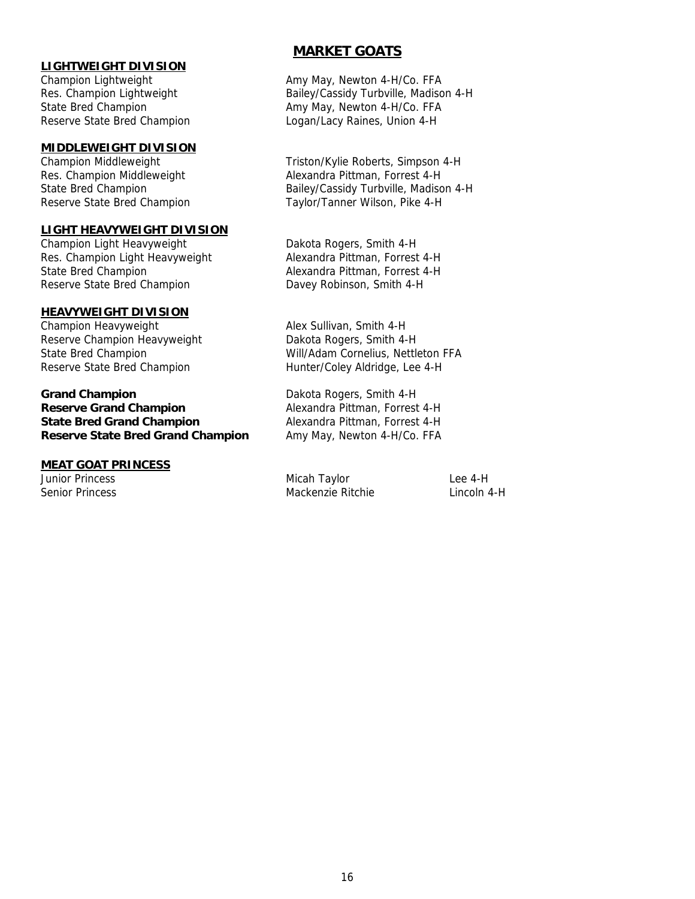## **LIGHTWEIGHT DIVISION**

## **MIDDLEWEIGHT DIVISION**

## **LIGHT HEAVYWEIGHT DIVISION**

Champion Light Heavyweight Dakota Rogers, Smith 4-H Res. Champion Light Heavyweight Alexandra Pittman, Forrest 4-H State Bred Champion **Alexandra Pittman, Forrest 4-H** Reserve State Bred Champion Davey Robinson, Smith 4-H

### **HEAVYWEIGHT DIVISION**

Champion Heavyweight **Alex Sullivan**, Smith 4-H Reserve Champion Heavyweight Dakota Rogers, Smith 4-H Reserve State Bred Champion Hunter/Coley Aldridge, Lee 4-H

**Grand Champion** Dakota Rogers, Smith 4-H **Reserve Grand Champion Alexandra Pittman, Forrest 4-H State Bred Grand Champion** Alexandra Pittman, Forrest 4-H **Reserve State Bred Grand Champion** Amy May, Newton 4-H/Co. FFA

## **MEAT GOAT PRINCESS**

# **MARKET GOATS**

Champion Lightweight **Amy May, Newton 4-H/Co. FFA** Res. Champion Lightweight Bailey/Cassidy Turbville, Madison 4-H State Bred Champion **Amy May, Newton 4-H/Co. FFA** Reserve State Bred Champion Logan/Lacy Raines, Union 4-H

Champion Middleweight Triston/Kylie Roberts, Simpson 4-H Res. Champion Middleweight Alexandra Pittman, Forrest 4-H State Bred Champion **Bailey/Cassidy Turbville, Madison 4-H** Reserve State Bred Champion Taylor/Tanner Wilson, Pike 4-H

State Bred Champion Will/Adam Cornelius, Nettleton FFA

Junior Princess and the Communication of the Micah Taylor Communication Lee 4-H Senior Princess Mackenzie Ritchie Lincoln 4-H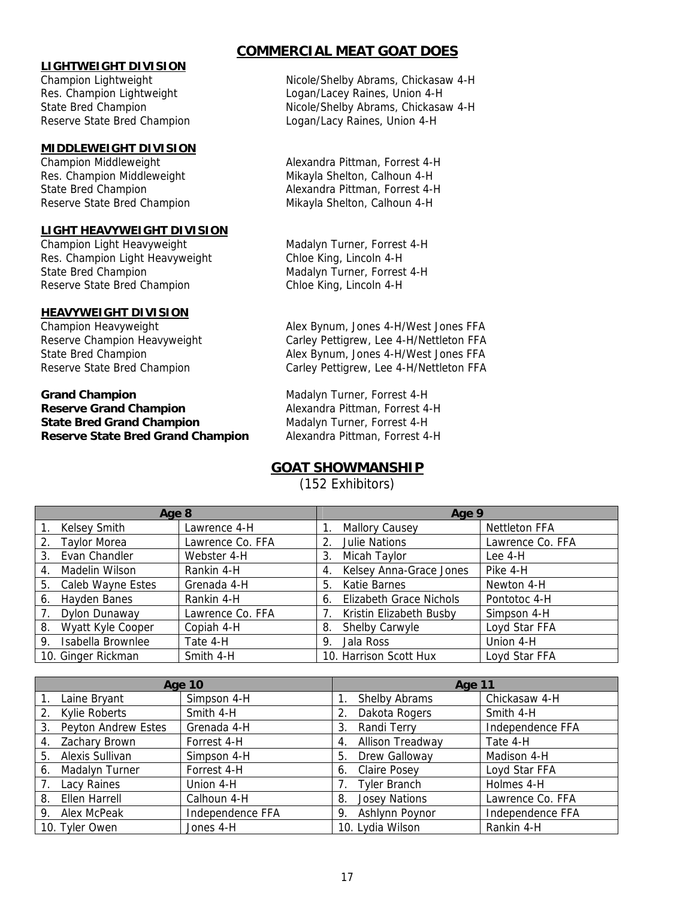## **LIGHTWEIGHT DIVISION**

## **MIDDLEWEIGHT DIVISION**

Res. Champion Middleweight Mikayla Shelton, Calhoun 4-H Reserve State Bred Champion Mikayla Shelton, Calhoun 4-H

## **LIGHT HEAVYWEIGHT DIVISION**

Res. Champion Light Heavyweight Chloe King, Lincoln 4-H State Bred Champion Madalyn Turner, Forrest 4-H Reserve State Bred Champion Chloe King, Lincoln 4-H

## **HEAVYWEIGHT DIVISION**

## **Grand Champion** Madalyn Turner, Forrest 4-H **Reserve Grand Champion** Alexandra Pittman, Forrest 4-H **State Bred Grand Champion** Madalyn Turner, Forrest 4-H **Reserve State Bred Grand Champion** Alexandra Pittman, Forrest 4-H

# **COMMERCIAL MEAT GOAT DOES**

Champion Lightweight **Nicole/Shelby Abrams, Chickasaw 4-H** Res. Champion Lightweight Logan/Lacey Raines, Union 4-H State Bred Champion **Nicole/Shelby Abrams, Chickasaw 4-H** Reserve State Bred Champion Logan/Lacy Raines, Union 4-H

Champion Middleweight **Alexandra Pittman, Forrest 4-H** State Bred Champion **Alexandra Pittman, Forrest 4-H** 

Champion Light Heavyweight Madalyn Turner, Forrest 4-H

Champion Heavyweight Alex Bynum, Jones 4-H/West Jones FFA Reserve Champion Heavyweight Carley Pettigrew, Lee 4-H/Nettleton FFA State Bred Champion **Alex Bynum, Jones 4-H/West Jones FFA** Reserve State Bred Champion Carley Pettigrew, Lee 4-H/Nettleton FFA

# **GOAT SHOWMANSHIP**

(152 Exhibitors)

| Age 8 |                     |                  | Age 9 |                                |                      |
|-------|---------------------|------------------|-------|--------------------------------|----------------------|
|       | <b>Kelsey Smith</b> | Lawrence 4-H     |       | <b>Mallory Causey</b>          | <b>Nettleton FFA</b> |
| 2.    | <b>Taylor Morea</b> | Lawrence Co. FFA |       | 2. Julie Nations               | Lawrence Co. FFA     |
| 3.    | Evan Chandler       | Webster 4-H      | 3.    | Micah Taylor                   | Lee 4-H              |
| 4.    | Madelin Wilson      | Rankin 4-H       | 4.    | Kelsey Anna-Grace Jones        | Pike 4-H             |
| 5.    | Caleb Wayne Estes   | Grenada 4-H      |       | 5. Katie Barnes                | Newton 4-H           |
| 6.    | Hayden Banes        | Rankin 4-H       | 6.    | <b>Elizabeth Grace Nichols</b> | Pontotoc 4-H         |
|       | Dylon Dunaway       | Lawrence Co. FFA |       | Kristin Elizabeth Busby        | Simpson 4-H          |
| 8.    | Wyatt Kyle Cooper   | Copiah 4-H       | 8.    | Shelby Carwyle                 | Loyd Star FFA        |
| 9.    | Isabella Brownlee   | Tate 4-H         | 9.    | Jala Ross                      | Union 4-H            |
|       | 10. Ginger Rickman  | Smith 4-H        |       | 10. Harrison Scott Hux         | Loyd Star FFA        |

| <b>Age 10</b>                    |                  | Age 11                        |                  |  |
|----------------------------------|------------------|-------------------------------|------------------|--|
| Laine Bryant                     | Simpson 4-H      | Shelby Abrams                 | Chickasaw 4-H    |  |
| 2. Kylie Roberts                 | Smith 4-H        | Dakota Rogers<br>$2_{1}$      | Smith 4-H        |  |
| <b>Peyton Andrew Estes</b><br>3. | Grenada 4-H      | Randi Terry<br>3.             | Independence FFA |  |
| Zachary Brown<br>4.              | Forrest 4-H      | <b>Allison Treadway</b><br>4. | Tate 4-H         |  |
| Alexis Sullivan<br>5.            | Simpson 4-H      | Drew Galloway<br>5.           | Madison 4-H      |  |
| Madalyn Turner<br>6.             | Forrest 4-H      | 6. Claire Posey               | Loyd Star FFA    |  |
| Lacy Raines                      | Union 4-H        | <b>Tyler Branch</b>           | Holmes 4-H       |  |
| Ellen Harrell<br>8.              | Calhoun 4-H      | <b>Josey Nations</b><br>8.    | Lawrence Co. FFA |  |
| Alex McPeak<br>9.                | Independence FFA | Ashlynn Poynor<br>9.          | Independence FFA |  |
| 10. Tyler Owen                   | Jones 4-H        | 10. Lydia Wilson              | Rankin 4-H       |  |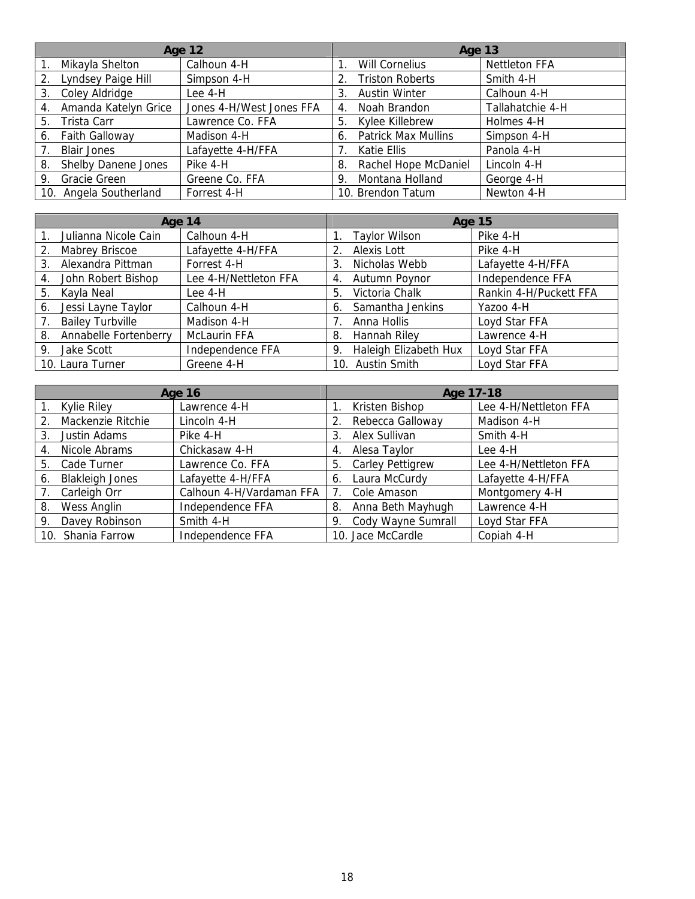| <b>Age 12</b> |                            |                          | Age 13                                          |  |  |
|---------------|----------------------------|--------------------------|-------------------------------------------------|--|--|
|               | Mikayla Shelton            | Calhoun 4-H              | <b>Nettleton FFA</b><br>Will Cornelius          |  |  |
| 2.            | Lyndsey Paige Hill         | Simpson 4-H              | <b>Triston Roberts</b><br>Smith 4-H<br>2.       |  |  |
|               | 3. Coley Aldridge          | Lee 4-H                  | <b>Austin Winter</b><br>Calhoun 4-H<br>3.       |  |  |
| 4.            | Amanda Katelyn Grice       | Jones 4-H/West Jones FFA | Tallahatchie 4-H<br>Noah Brandon<br>4.          |  |  |
| 5.            | Trista Carr                | Lawrence Co. FFA         | Kylee Killebrew<br>Holmes 4-H<br>5.             |  |  |
| 6.            | <b>Faith Galloway</b>      | Madison 4-H              | <b>Patrick Max Mullins</b><br>Simpson 4-H<br>6. |  |  |
|               | <b>Blair Jones</b>         | Lafayette 4-H/FFA        | Panola 4-H<br>Katie Ellis                       |  |  |
| 8.            | <b>Shelby Danene Jones</b> | Pike 4-H                 | Rachel Hope McDaniel<br>Lincoln 4-H<br>8.       |  |  |
|               | 9. Gracie Green            | Greene Co. FFA           | Montana Holland<br>George 4-H<br>9.             |  |  |
|               | 10. Angela Southerland     | Forrest 4-H              | Newton 4-H<br>10. Brendon Tatum                 |  |  |

| Age 14                      |                       | <b>Age 15</b>               |                        |
|-----------------------------|-----------------------|-----------------------------|------------------------|
| Julianna Nicole Cain        | Calhoun 4-H           | <b>Taylor Wilson</b>        | Pike 4-H               |
| Mabrey Briscoe<br>2.        | Lafayette 4-H/FFA     | Alexis Lott<br>2.           | Pike 4-H               |
| Alexandra Pittman<br>3.     | Forrest 4-H           | Nicholas Webb<br>3.         | Lafayette 4-H/FFA      |
| John Robert Bishop<br>4.    | Lee 4-H/Nettleton FFA | Autumn Poynor<br>4.         | Independence FFA       |
| Kayla Neal<br>5.            | Lee 4-H               | Victoria Chalk<br>5.        | Rankin 4-H/Puckett FFA |
| Jessi Layne Taylor<br>6.    | Calhoun 4-H           | Samantha Jenkins<br>6.      | Yazoo 4-H              |
| <b>Bailey Turbville</b>     | Madison 4-H           | Anna Hollis                 | Loyd Star FFA          |
| Annabelle Fortenberry<br>8. | <b>McLaurin FFA</b>   | <b>Hannah Riley</b><br>8.   | Lawrence 4-H           |
| Jake Scott<br>9.            | Independence FFA      | Haleigh Elizabeth Hux<br>9. | Loyd Star FFA          |
| 10. Laura Turner            | Greene 4-H            | 10. Austin Smith            | Loyd Star FFA          |

| <b>Age 16</b>                |                          | Age 17-18                     |                       |
|------------------------------|--------------------------|-------------------------------|-----------------------|
| 1. Kylie Riley               | Lawrence 4-H             | Kristen Bishop                | Lee 4-H/Nettleton FFA |
| Mackenzie Ritchie<br>2.      | Lincoln 4-H              | Rebecca Galloway<br>2.        | Madison 4-H           |
| Justin Adams<br>3.           | Pike 4-H                 | Alex Sullivan<br>3            | Smith 4-H             |
| Nicole Abrams<br>4.          | Chickasaw 4-H            | Alesa Taylor<br>4.            | Lee 4-H               |
| Cade Turner<br>5.            | Lawrence Co. FFA         | <b>Carley Pettigrew</b><br>5. | Lee 4-H/Nettleton FFA |
| <b>Blakleigh Jones</b><br>6. | Lafayette 4-H/FFA        | Laura McCurdy<br>6.           | Lafayette 4-H/FFA     |
| Carleigh Orr                 | Calhoun 4-H/Vardaman FFA | Cole Amason                   | Montgomery 4-H        |
| <b>Wess Anglin</b><br>8.     | Independence FFA         | Anna Beth Mayhugh<br>8.       | Lawrence 4-H          |
| Davey Robinson<br>9.         | Smith 4-H                | Cody Wayne Sumrall<br>9.      | Loyd Star FFA         |
| 10. Shania Farrow            | Independence FFA         | 10. Jace McCardle             | Copiah 4-H            |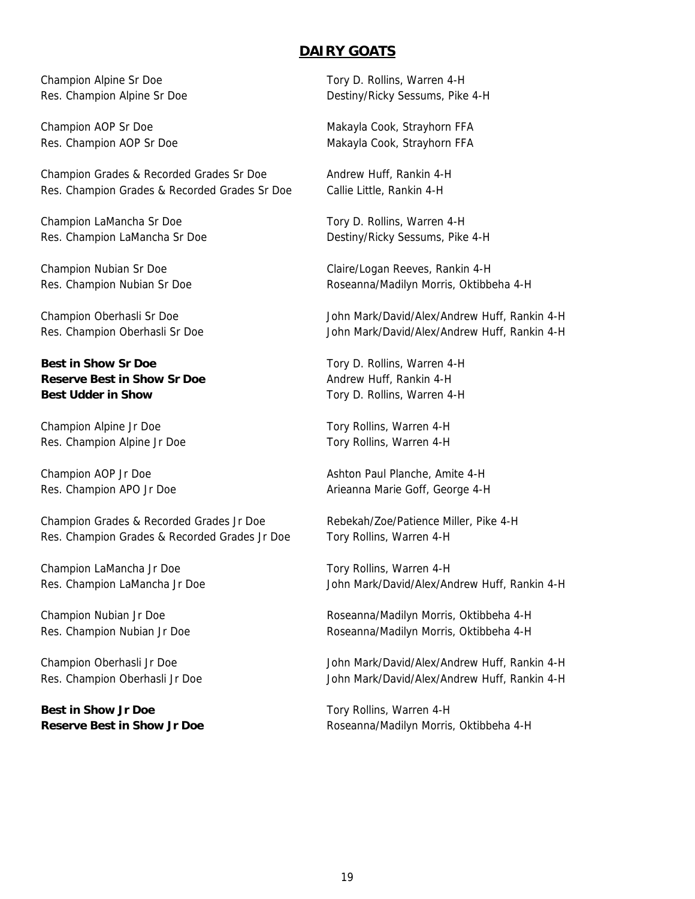## **DAIRY GOATS**

Champion Grades & Recorded Grades Sr Doe Andrew Huff, Rankin 4-H Res. Champion Grades & Recorded Grades Sr Doe Callie Little, Rankin 4-H

Champion LaMancha Sr Doe Tory D. Rollins, Warren 4-H Res. Champion LaMancha Sr Doe Destiny/Ricky Sessums, Pike 4-H

**Best in Show Sr Doe** Tory D. Rollins, Warren 4-H **Reserve Best in Show Sr Doe** Andrew Huff, Rankin 4-H **Best Udder in Show**  Tory D. Rollins, Warren 4-H

Champion Alpine Jr Doe Tory Rollins, Warren 4-H Res. Champion Alpine Jr Doe Tory Rollins, Warren 4-H

Champion Grades & Recorded Grades Jr Doe Rebekah/Zoe/Patience Miller, Pike 4-H Res. Champion Grades & Recorded Grades Jr Doe Tory Rollins, Warren 4-H

Champion LaMancha Jr Doe Tory Rollins, Warren 4-H

**Best in Show Jr Doe** The Tory Rollins, Warren 4-H

Champion Alpine Sr Doe Tory D. Rollins, Warren 4-H Res. Champion Alpine Sr Doe Destiny/Ricky Sessums, Pike 4-H

Champion AOP Sr Doe Makayla Cook, Strayhorn FFA Res. Champion AOP Sr Doe Makayla Cook, Strayhorn FFA

Champion Nubian Sr Doe Claire/Logan Reeves, Rankin 4-H Res. Champion Nubian Sr Doe **Roseanna/Madilyn Morris, Oktibbeha 4-H** 

Champion Oberhasli Sr Doe John Mark/David/Alex/Andrew Huff, Rankin 4-H Res. Champion Oberhasli Sr Doe John Mark/David/Alex/Andrew Huff, Rankin 4-H

Champion AOP Jr Doe **Ashton Paul Planche, Amite 4-H** Ashton Paul Planche, Amite 4-H Res. Champion APO Jr Doe Arieanna Marie Goff, George 4-H

Res. Champion LaMancha Jr Doe John Mark/David/Alex/Andrew Huff, Rankin 4-H

Champion Nubian Jr Doe Roseanna/Madilyn Morris, Oktibbeha 4-H Res. Champion Nubian Jr Doe **Roseanna/Madilyn Morris, Oktibbeha 4-H** 

Champion Oberhasli Jr Doe John Mark/David/Alex/Andrew Huff, Rankin 4-H Res. Champion Oberhasli Jr Doe John Mark/David/Alex/Andrew Huff, Rankin 4-H

**Reserve Best in Show Jr Doe Roseanna/Madilyn Morris, Oktibbeha 4-H**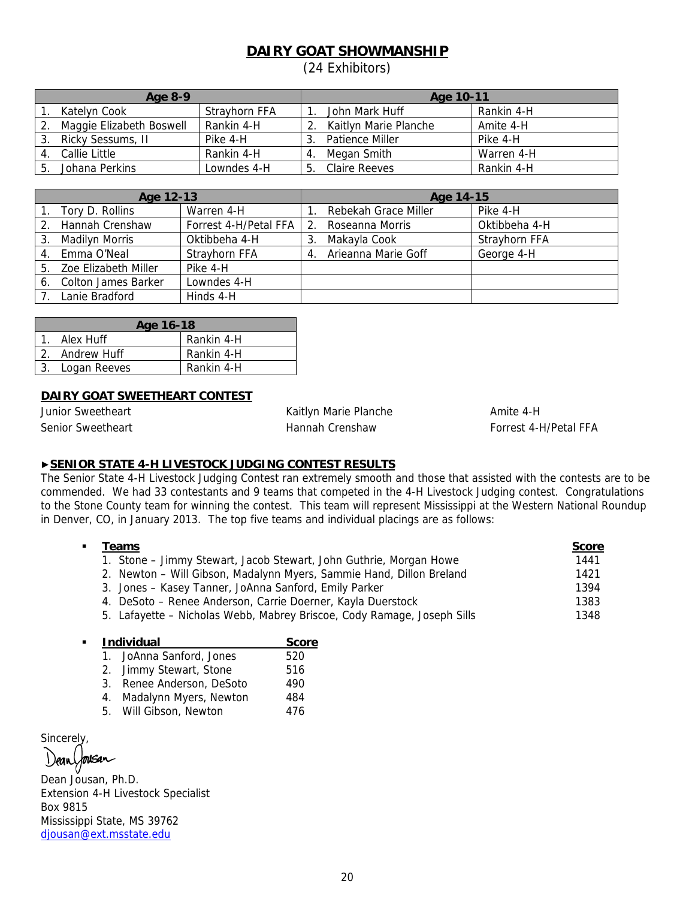# **DAIRY GOAT SHOWMANSHIP**

(24 Exhibitors)

| Age 8-9 |                          | Age 10-11     |                        |            |
|---------|--------------------------|---------------|------------------------|------------|
|         | Katelyn Cook             | Strayhorn FFA | John Mark Huff         | Rankin 4-H |
|         | Maggie Elizabeth Boswell | Rankin 4-H    | Kaitlyn Marie Planche  | Amite 4-H  |
|         | Ricky Sessums, II        | Pike 4-H      | <b>Patience Miller</b> | Pike 4-H   |
|         | Callie Little            | Rankin 4-H    | Megan Smith            | Warren 4-H |
|         | Johana Perkins           | Lowndes 4-H   | Claire Reeves          | Rankin 4-H |

| Age 12-13 |                         | Age 14-15             |    |                      |               |
|-----------|-------------------------|-----------------------|----|----------------------|---------------|
|           | 1. Tory D. Rollins      | Warren 4-H            |    | Rebekah Grace Miller | Pike 4-H      |
|           | 2. Hannah Crenshaw      | Forrest 4-H/Petal FFA |    | Roseanna Morris      | Oktibbeha 4-H |
| 3.        | Madilyn Morris          | Oktibbeha 4-H         |    | Makayla Cook         | Strayhorn FFA |
|           | 4. Emma O'Neal          | Strayhorn FFA         | 4. | Arieanna Marie Goff  | George 4-H    |
|           | 5. Zoe Elizabeth Miller | Pike 4-H              |    |                      |               |
|           | 6. Colton James Barker  | Lowndes 4-H           |    |                      |               |
|           | 7. Lanie Bradford       | Hinds 4-H             |    |                      |               |

| Age 16-18 |                 |            |  |
|-----------|-----------------|------------|--|
|           | Alex Huff       | Rankin 4-H |  |
|           | 2. Andrew Huff  | Rankin 4-H |  |
|           | 3. Logan Reeves | Rankin 4-H |  |

## **DAIRY GOAT SWEETHEART CONTEST**

Junior Sweetheart **Amite 1-H** Kaitlyn Marie Planche Amite 4-H

Senior Sweetheart **Hannah Crenshaw Forrest 4-H/Petal FFA** 

## ▶**SENIOR STATE 4-H LIVESTOCK JUDGING CONTEST RESULTS**

The Senior State 4-H Livestock Judging Contest ran extremely smooth and those that assisted with the contests are to be commended. We had 33 contestants and 9 teams that competed in the 4-H Livestock Judging contest. Congratulations to the Stone County team for winning the contest. This team will represent Mississippi at the Western National Roundup in Denver, CO, in January 2013. The top five teams and individual placings are as follows:

| $\blacksquare$ | Teams                                                                   | <b>Score</b> |
|----------------|-------------------------------------------------------------------------|--------------|
|                | 1. Stone – Jimmy Stewart, Jacob Stewart, John Guthrie, Morgan Howe      | 1441         |
|                | 2. Newton - Will Gibson, Madalynn Myers, Sammie Hand, Dillon Breland    | 1421         |
|                | 3. Jones - Kasey Tanner, JoAnna Sanford, Emily Parker                   | 1394         |
|                | 4. DeSoto – Renee Anderson, Carrie Doerner, Kayla Duerstock             | 1383         |
|                | 5. Lafayette - Nicholas Webb, Mabrey Briscoe, Cody Ramage, Joseph Sills | 1348         |
|                |                                                                         |              |

|    | <b>Individual</b>         |     |
|----|---------------------------|-----|
|    | 1. JoAnna Sanford, Jones  | 520 |
|    | 2. Jimmy Stewart, Stone   | 516 |
|    | 3. Renee Anderson, DeSoto | 490 |
| 4. | Madalynn Myers, Newton    | 484 |
|    | 5. Will Gibson, Newton    | 476 |

**Sincerely** Jousan

Dean Jousan, Ph.D. Extension 4-H Livestock Specialist Box 9815 Mississippi State, MS 39762 djousan@ext.msstate.edu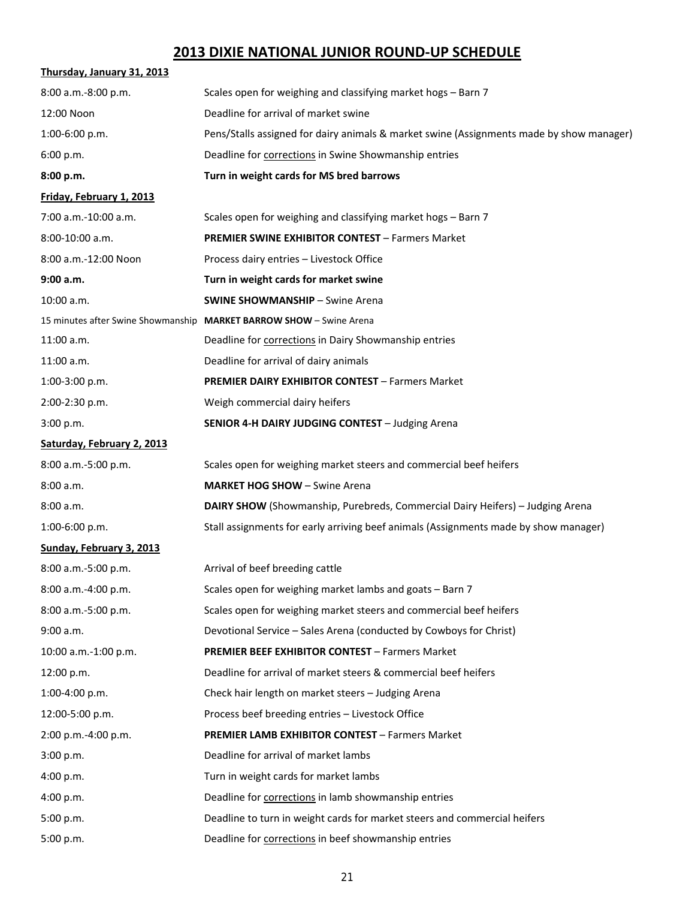# **2013 DIXIE NATIONAL JUNIOR ROUND‐UP SCHEDULE**

| Thursday, January 31, 2013         |                                                                                          |
|------------------------------------|------------------------------------------------------------------------------------------|
| 8:00 a.m.-8:00 p.m.                | Scales open for weighing and classifying market hogs - Barn 7                            |
| 12:00 Noon                         | Deadline for arrival of market swine                                                     |
| 1:00-6:00 p.m.                     | Pens/Stalls assigned for dairy animals & market swine (Assignments made by show manager) |
| 6:00 p.m.                          | Deadline for corrections in Swine Showmanship entries                                    |
| 8:00 p.m.                          | Turn in weight cards for MS bred barrows                                                 |
| Friday, February 1, 2013           |                                                                                          |
| 7:00 a.m.-10:00 a.m.               | Scales open for weighing and classifying market hogs - Barn 7                            |
| 8:00-10:00 a.m.                    | <b>PREMIER SWINE EXHIBITOR CONTEST - Farmers Market</b>                                  |
| 8:00 a.m.-12:00 Noon               | Process dairy entries - Livestock Office                                                 |
| 9:00 a.m.                          | Turn in weight cards for market swine                                                    |
| 10:00 a.m.                         | <b>SWINE SHOWMANSHIP - Swine Arena</b>                                                   |
| 15 minutes after Swine Showmanship | <b>MARKET BARROW SHOW - Swine Arena</b>                                                  |
| 11:00 a.m.                         | Deadline for corrections in Dairy Showmanship entries                                    |
| $11:00$ a.m.                       | Deadline for arrival of dairy animals                                                    |
| 1:00-3:00 p.m.                     | <b>PREMIER DAIRY EXHIBITOR CONTEST - Farmers Market</b>                                  |
| 2:00-2:30 p.m.                     | Weigh commercial dairy heifers                                                           |
| 3:00 p.m.                          | SENIOR 4-H DAIRY JUDGING CONTEST - Judging Arena                                         |
| Saturday, February 2, 2013         |                                                                                          |
| 8:00 a.m.-5:00 p.m.                | Scales open for weighing market steers and commercial beef heifers                       |
| 8:00 a.m.                          | <b>MARKET HOG SHOW - Swine Arena</b>                                                     |
| 8:00 a.m.                          | <b>DAIRY SHOW</b> (Showmanship, Purebreds, Commercial Dairy Heifers) - Judging Arena     |
| 1:00-6:00 p.m.                     | Stall assignments for early arriving beef animals (Assignments made by show manager)     |
| Sunday, February 3, 2013           |                                                                                          |
| $8:00$ a.m.-5:00 p.m.              | Arrival of beef breeding cattle                                                          |
| 8:00 a.m.-4:00 p.m.                | Scales open for weighing market lambs and goats - Barn 7                                 |
| 8:00 a.m.-5:00 p.m.                | Scales open for weighing market steers and commercial beef heifers                       |
| 9:00 a.m.                          | Devotional Service - Sales Arena (conducted by Cowboys for Christ)                       |
| 10:00 a.m.-1:00 p.m.               | <b>PREMIER BEEF EXHIBITOR CONTEST - Farmers Market</b>                                   |
| 12:00 p.m.                         | Deadline for arrival of market steers & commercial beef heifers                          |
| 1:00-4:00 p.m.                     | Check hair length on market steers - Judging Arena                                       |
| 12:00-5:00 p.m.                    | Process beef breeding entries - Livestock Office                                         |
| 2:00 p.m.-4:00 p.m.                | <b>PREMIER LAMB EXHIBITOR CONTEST - Farmers Market</b>                                   |
| 3:00 p.m.                          | Deadline for arrival of market lambs                                                     |
| 4:00 p.m.                          | Turn in weight cards for market lambs                                                    |
| 4:00 p.m.                          | Deadline for corrections in lamb showmanship entries                                     |
| 5:00 p.m.                          | Deadline to turn in weight cards for market steers and commercial heifers                |
| 5:00 p.m.                          | Deadline for corrections in beef showmanship entries                                     |